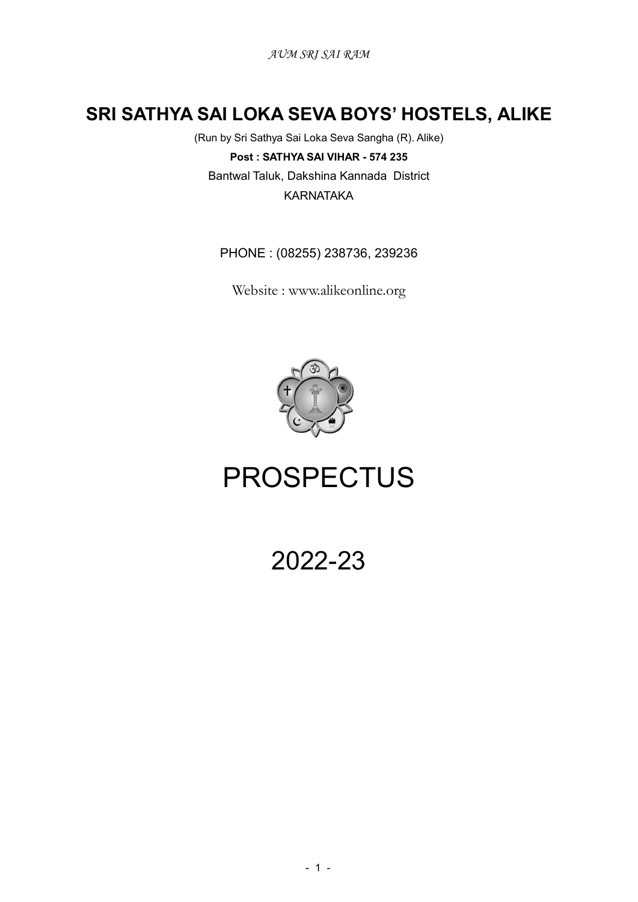# SRI SATHYA SAI LOKA SEVA BOYS' HOSTELS, ALIKE

(Run by Sri Sathya Sai Loka Seva Sangha (R). Alike) Post : SATHYA SAI VIHAR - 574 235 Bantwal Taluk, Dakshina Kannada District KARNATAKA

PHONE : (08255) 238736, 239236

Website : www.alikeonline.org



# PROSPECTUS

2022-23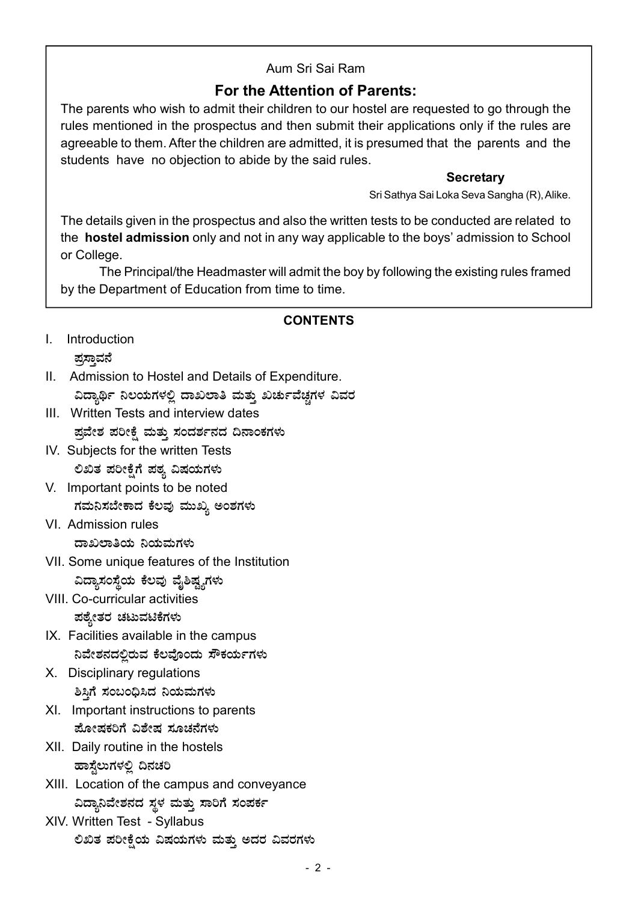# Aum Sri Sai Ram

# For the Attention of Parents:

The parents who wish to admit their children to our hostel are requested to go through the rules mentioned in the prospectus and then submit their applications only if the rules are agreeable to them. After the children are admitted, it is presumed that the parents and the students have no objection to abide by the said rules.

## **Secretary**

Sri Sathya Sai Loka Seva Sangha (R), Alike.

The details given in the prospectus and also the written tests to be conducted are related to the hostel admission only and not in any way applicable to the boys' admission to School or College.

The Principal/the Headmaster will admit the boy by following the existing rules framed by the Department of Education from time to time.

## CONTENTS

- I. Introduction ಪ್ರಸಾವನೆ
- II. Admission to Hostel and Details of Expenditure. ವಿದ್ಯಾರ್ಥಿ ನಿಲಯಗಳಲ್ಲಿ ದಾಖಲಾತಿ ಮತ್ತು ಖರ್ಚುವೆಚ್ಚಗಳ ವಿವರ
- III. Written Tests and interview dates ಪ್ರವೇಶ ಪರೀಕ್ಷೆ ಮತ್ತು ಸಂದರ್ಶನದ ದಿನಾಂಕಗಳು
- IV. Subjects for the written Tests ಲಿಖಿತ ಪರೀಕ್ಷೆಗೆ ಪಠ್ಯ ವಿಷಯಗಳು
- V. Important points to be noted ಗಮನಿಸಬೇಕಾದ ಕೆಲವು ಮುಖ್ಯ ಅಂಶಗಳು
- VI. Admission rules ದಾಖಲಾತಿಯ ನಿಯಮಗಳು
- VII. Some unique features of the Institution ವಿದ್ಯಾಸಂಸ್ಥೆಯ ಕೆಲವು ವೈಶಿಷ್ಟ್ಯಗಳು
- VIII. Co-curricular activities ಪಠ್ಯೇತರ ಚಟುವಟಿಕೆಗಳು
- IX. Facilities available in the campus ನಿವೇಶನದಲ್ಲಿರುವ ಕೆಲವೊಂದು ಸೌಕರ್ಯಗಳು
- X. Disciplinary regulations ಶಿಸಿಗೆ ಸಂಬಂಧಿಸಿದ ನಿಯಮಗಳು
- XI. Important instructions to parents ಹೋಷಕರಿಗೆ ವಿಶೇಷ ಸೂಚನೆಗಳು
- XII. Daily routine in the hostels ಹಾಸ್ತೆಲುಗಳಲ್ಲಿ ದಿನಚರಿ
- XIII. Location of the campus and conveyance ವಿದ್ಯಾನಿವೇಶನದ ಸ್ಥಳ ಮತ್ತು ಸಾರಿಗೆ ಸಂಪರ್ಕ
- XIV. Written Test Syllabus ಲಿಖಿತ ಪರೀಕ್ಷೆಯ ವಿಷಯಗಳು ಮತ್ತು ಅದರ ವಿವರಗಳು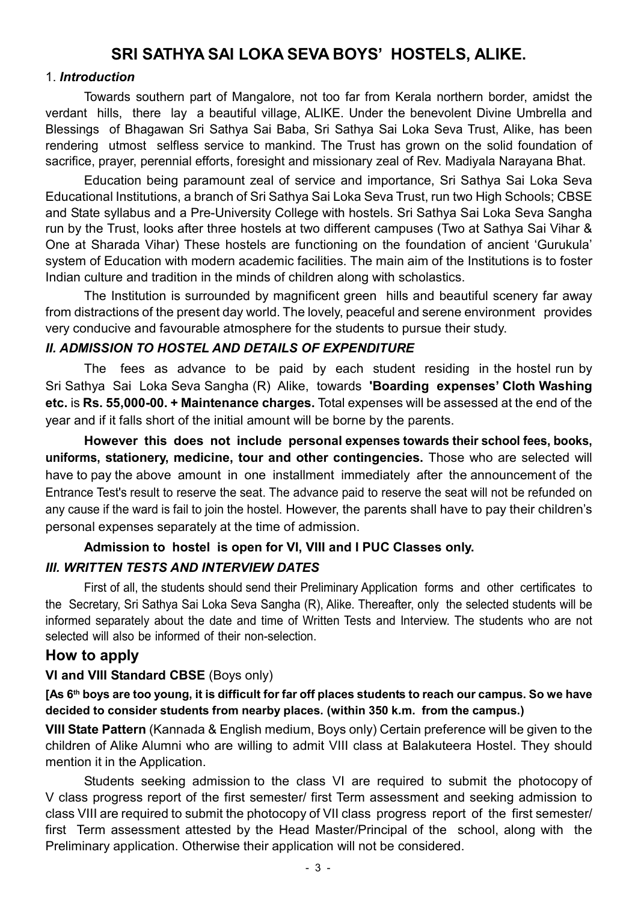# SRI SATHYA SAI LOKA SEVA BOYS' HOSTELS, ALIKE.

#### 1. Introduction

Towards southern part of Mangalore, not too far from Kerala northern border, amidst the verdant hills, there lay a beautiful village, ALIKE. Under the benevolent Divine Umbrella and Blessings of Bhagawan Sri Sathya Sai Baba, Sri Sathya Sai Loka Seva Trust, Alike, has been rendering utmost selfless service to mankind. The Trust has grown on the solid foundation of sacrifice, prayer, perennial efforts, foresight and missionary zeal of Rev. Madiyala Narayana Bhat.

Education being paramount zeal of service and importance, Sri Sathya Sai Loka Seva Educational Institutions, a branch of Sri Sathya Sai Loka Seva Trust, run two High Schools; CBSE and State syllabus and a Pre-University College with hostels. Sri Sathya Sai Loka Seva Sangha run by the Trust, looks after three hostels at two different campuses (Two at Sathya Sai Vihar & One at Sharada Vihar) These hostels are functioning on the foundation of ancient 'Gurukula' system of Education with modern academic facilities. The main aim of the Institutions is to foster Indian culture and tradition in the minds of children along with scholastics.

The Institution is surrounded by magnificent green hills and beautiful scenery far away from distractions of the present day world. The lovely, peaceful and serene environment provides very conducive and favourable atmosphere for the students to pursue their study.

#### II. ADMISSION TO HOSTEL AND DETAILS OF EXPENDITURE

The fees as advance to be paid by each student residing in the hostel run by Sri Sathya Sai Loka Seva Sangha (R) Alike, towards 'Boarding expenses' Cloth Washing etc. is Rs. 55,000-00. + Maintenance charges. Total expenses will be assessed at the end of the year and if it falls short of the initial amount will be borne by the parents.

However this does not include personal expenses towards their school fees, books, uniforms, stationery, medicine, tour and other contingencies. Those who are selected will have to pay the above amount in one installment immediately after the announcement of the Entrance Test's result to reserve the seat. The advance paid to reserve the seat will not be refunded on any cause if the ward is fail to join the hostel. However, the parents shall have to pay their children's personal expenses separately at the time of admission.

# Admission to hostel is open for VI, VIII and I PUC Classes only.

## III. WRITTEN TESTS AND INTERVIEW DATES

First of all, the students should send their Preliminary Application forms and other certificates to the Secretary, Sri Sathya Sai Loka Seva Sangha (R), Alike. Thereafter, only the selected students will be informed separately about the date and time of Written Tests and Interview. The students who are not selected will also be informed of their non-selection.

## How to apply

## VI and VIII Standard CBSE (Boys only)

[As 6<sup>th</sup> boys are too young, it is difficult for far off places students to reach our campus. So we have decided to consider students from nearby places. (within 350 k.m. from the campus.)

VIII State Pattern (Kannada & English medium, Boys only) Certain preference will be given to the children of Alike Alumni who are willing to admit VIII class at Balakuteera Hostel. They should mention it in the Application.

Students seeking admission to the class VI are required to submit the photocopy of V class progress report of the first semester/ first Term assessment and seeking admission to class VIII are required to submit the photocopy of VII class progress report of the first semester/ first Term assessment attested by the Head Master/Principal of the school, along with the Preliminary application. Otherwise their application will not be considered.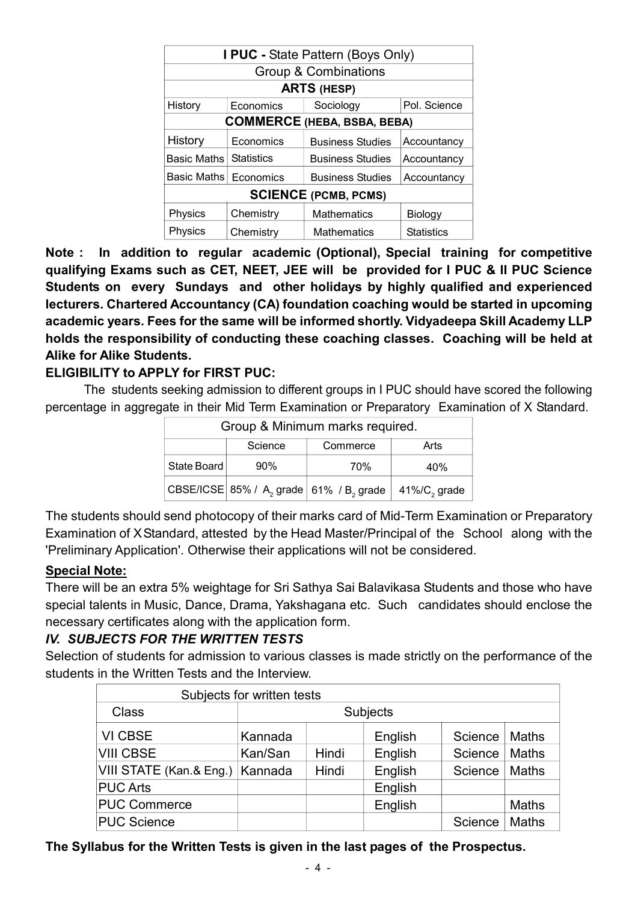| I PUC - State Pattern (Boys Only)                 |                   |                                        |                   |  |
|---------------------------------------------------|-------------------|----------------------------------------|-------------------|--|
| <b>Group &amp; Combinations</b>                   |                   |                                        |                   |  |
| <b>ARTS (HESP)</b>                                |                   |                                        |                   |  |
| Sociology<br>History<br>Pol. Science<br>Economics |                   |                                        |                   |  |
| <b>COMMERCE (HEBA, BSBA, BEBA)</b>                |                   |                                        |                   |  |
| History                                           | Economics         | <b>Business Studies</b>                | Accountancy       |  |
| Basic Maths                                       | <b>Statistics</b> | <b>Business Studies</b>                | Accountancy       |  |
| Basic Maths                                       | Economics         | <b>Business Studies</b><br>Accountancy |                   |  |
| <b>SCIENCE (PCMB, PCMS)</b>                       |                   |                                        |                   |  |
| Physics                                           | Chemistry         | <b>Mathematics</b>                     | Biology           |  |
| Physics                                           | Chemistry         | <b>Mathematics</b>                     | <b>Statistics</b> |  |

Note : In addition to regular academic (Optional), Special training for competitive qualifying Exams such as CET, NEET, JEE will be provided for I PUC & II PUC Science Students on every Sundays and other holidays by highly qualified and experienced lecturers. Chartered Accountancy (CA) foundation coaching would be started in upcoming academic years. Fees for the same will be informed shortly. Vidyadeepa Skill Academy LLP holds the responsibility of conducting these coaching classes. Coaching will be held at Alike for Alike Students.

## ELIGIBILITY to APPLY for FIRST PUC:

The students seeking admission to different groups in I PUC should have scored the following percentage in aggregate in their Mid Term Examination or Preparatory Examination of X Standard.

| Group & Minimum marks required. |     |                                                                                                                 |                              |
|---------------------------------|-----|-----------------------------------------------------------------------------------------------------------------|------------------------------|
| Science<br>Arts<br>Commerce     |     |                                                                                                                 |                              |
| State Board                     | 90% | 70%                                                                                                             | 40%                          |
|                                 |     | $ \mathsf{CBSE}/ \mathsf{CSE} \mathsf{85\%}/\mathsf{A},\mathsf{grade} \mathsf{61\%}/\mathsf{B},\mathsf{grade} $ | $ $ 41%/C <sub>2</sub> grade |

The students should send photocopy of their marks card of Mid-Term Examination or Preparatory Examination of XStandard, attested by the Head Master/Principal of the School along with the 'Preliminary Application'. Otherwise their applications will not be considered.

## Special Note:

There will be an extra 5% weightage for Sri Sathya Sai Balavikasa Students and those who have special talents in Music, Dance, Drama, Yakshagana etc. Such candidates should enclose the necessary certificates along with the application form.

# IV. SUBJECTS FOR THE WRITTEN TESTS

Selection of students for admission to various classes is made strictly on the performance of the students in the Written Tests and the Interview.

| Subjects for written tests |          |       |         |         |              |
|----------------------------|----------|-------|---------|---------|--------------|
| <b>Class</b>               | Subjects |       |         |         |              |
| VI CBSE                    | Kannada  |       | English | Science | Maths        |
| <b>VIII CBSE</b>           | Kan/San  | Hindi | English | Science | Maths        |
| VIII STATE (Kan.& Eng.)    | Kannada  | Hindi | English | Science | Maths        |
| <b>PUC Arts</b>            |          |       | English |         |              |
| <b>PUC Commerce</b>        |          |       | English |         | <b>Maths</b> |
| <b>PUC Science</b>         |          |       |         | Science | Maths        |

The Syllabus for the Written Tests is given in the last pages of the Prospectus.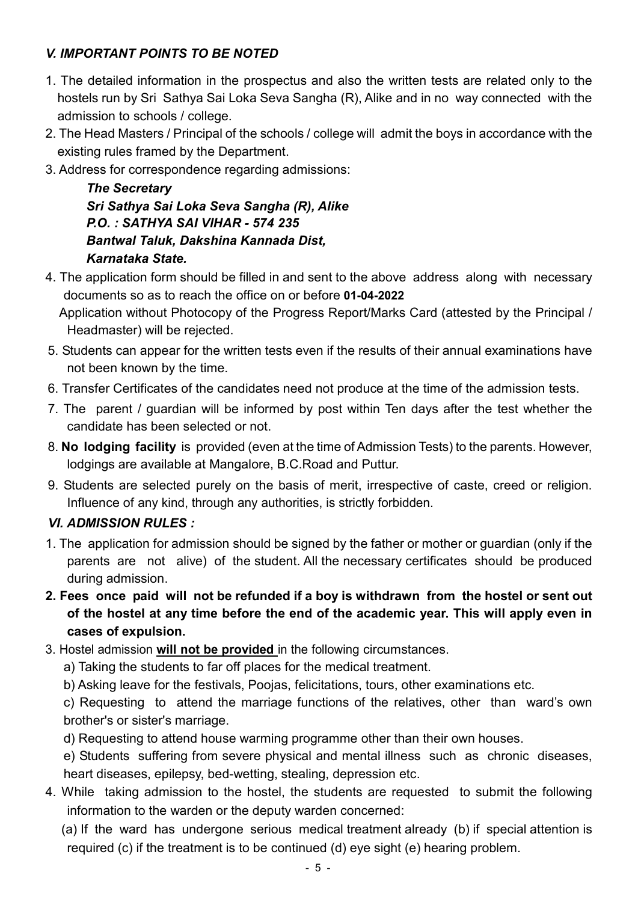# V. IMPORTANT POINTS TO BE NOTED

- 1. The detailed information in the prospectus and also the written tests are related only to the hostels run by Sri Sathya Sai Loka Seva Sangha (R), Alike and in no way connected with the admission to schools / college.
- 2. The Head Masters / Principal of the schools / college will admit the boys in accordance with the existing rules framed by the Department.
- 3. Address for correspondence regarding admissions:

The Secretary Sri Sathya Sai Loka Seva Sangha (R), Alike P.O. : SATHYA SAI VIHAR - 574 235 Bantwal Taluk, Dakshina Kannada Dist, Karnataka State.

4. The application form should be filled in and sent to the above address along with necessary documents so as to reach the office on or before 01-04-2022

 Application without Photocopy of the Progress Report/Marks Card (attested by the Principal / Headmaster) will be rejected.

- 5. Students can appear for the written tests even if the results of their annual examinations have not been known by the time.
- 6. Transfer Certificates of the candidates need not produce at the time of the admission tests.
- 7. The parent / guardian will be informed by post within Ten days after the test whether the candidate has been selected or not.
- 8. No lodging facility is provided (even at the time of Admission Tests) to the parents. However, lodgings are available at Mangalore, B.C.Road and Puttur.
- 9. Students are selected purely on the basis of merit, irrespective of caste, creed or religion. Influence of any kind, through any authorities, is strictly forbidden.

# VI. ADMISSION RULES :

- 1. The application for admission should be signed by the father or mother or guardian (only if the parents are not alive) of the student. All the necessary certificates should be produced during admission.
- 2. Fees once paid will not be refunded if a boy is withdrawn from the hostel or sent out of the hostel at any time before the end of the academic year. This will apply even in cases of expulsion.
- 3. Hostel admission will not be provided in the following circumstances.
	- a) Taking the students to far off places for the medical treatment.

b) Asking leave for the festivals, Poojas, felicitations, tours, other examinations etc.

c) Requesting to attend the marriage functions of the relatives, other than ward's own brother's or sister's marriage.

d) Requesting to attend house warming programme other than their own houses.

e) Students suffering from severe physical and mental illness such as chronic diseases, heart diseases, epilepsy, bed-wetting, stealing, depression etc.

4. While taking admission to the hostel, the students are requested to submit the following information to the warden or the deputy warden concerned:

 (a) If the ward has undergone serious medical treatment already (b) if special attention is required (c) if the treatment is to be continued (d) eye sight (e) hearing problem.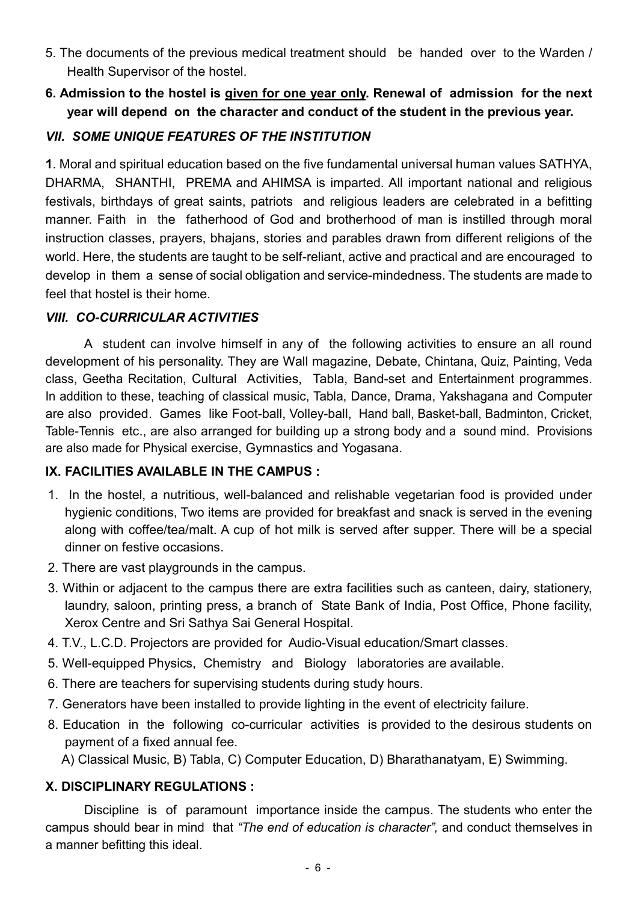- 5. The documents of the previous medical treatment should be handed over to the Warden / Health Supervisor of the hostel.
- 6. Admission to the hostel is given for one year only. Renewal of admission for the next year will depend on the character and conduct of the student in the previous year.

## VII. SOME UNIQUE FEATURES OF THE INSTITUTION

1. Moral and spiritual education based on the five fundamental universal human values SATHYA, DHARMA, SHANTHI, PREMA and AHIMSA is imparted. All important national and religious festivals, birthdays of great saints, patriots and religious leaders are celebrated in a befitting manner. Faith in the fatherhood of God and brotherhood of man is instilled through moral instruction classes, prayers, bhajans, stories and parables drawn from different religions of the world. Here, the students are taught to be self-reliant, active and practical and are encouraged to develop in them a sense of social obligation and service-mindedness. The students are made to feel that hostel is their home.

## VIII. CO-CURRICULAR ACTIVITIES

A student can involve himself in any of the following activities to ensure an all round development of his personality. They are Wall magazine, Debate, Chintana, Quiz, Painting, Veda class, Geetha Recitation, Cultural Activities, Tabla, Band-set and Entertainment programmes. In addition to these, teaching of classical music, Tabla, Dance, Drama, Yakshagana and Computer are also provided. Games like Foot-ball, Volley-ball, Hand ball, Basket-ball, Badminton, Cricket, Table-Tennis etc., are also arranged for building up a strong body and a sound mind. Provisions are also made for Physical exercise, Gymnastics and Yogasana.

## IX. FACILITIES AVAILABLE IN THE CAMPUS :

- 1. In the hostel, a nutritious, well-balanced and relishable vegetarian food is provided under hygienic conditions, Two items are provided for breakfast and snack is served in the evening along with coffee/tea/malt. A cup of hot milk is served after supper. There will be a special dinner on festive occasions.
- 2. There are vast playgrounds in the campus.
- 3. Within or adjacent to the campus there are extra facilities such as canteen, dairy, stationery, laundry, saloon, printing press, a branch of State Bank of India, Post Office, Phone facility, Xerox Centre and Sri Sathya Sai General Hospital.
- 4. T.V., L.C.D. Projectors are provided for Audio-Visual education/Smart classes.
- 5. Well-equipped Physics, Chemistry and Biology laboratories are available.
- 6. There are teachers for supervising students during study hours.
- 7. Generators have been installed to provide lighting in the event of electricity failure.
- 8. Education in the following co-curricular activities is provided to the desirous students on payment of a fixed annual fee.

A) Classical Music, B) Tabla, C) Computer Education, D) Bharathanatyam, E) Swimming.

## X. DISCIPLINARY REGULATIONS :

Discipline is of paramount importance inside the campus. The students who enter the campus should bear in mind that "The end of education is character", and conduct themselves in a manner befitting this ideal.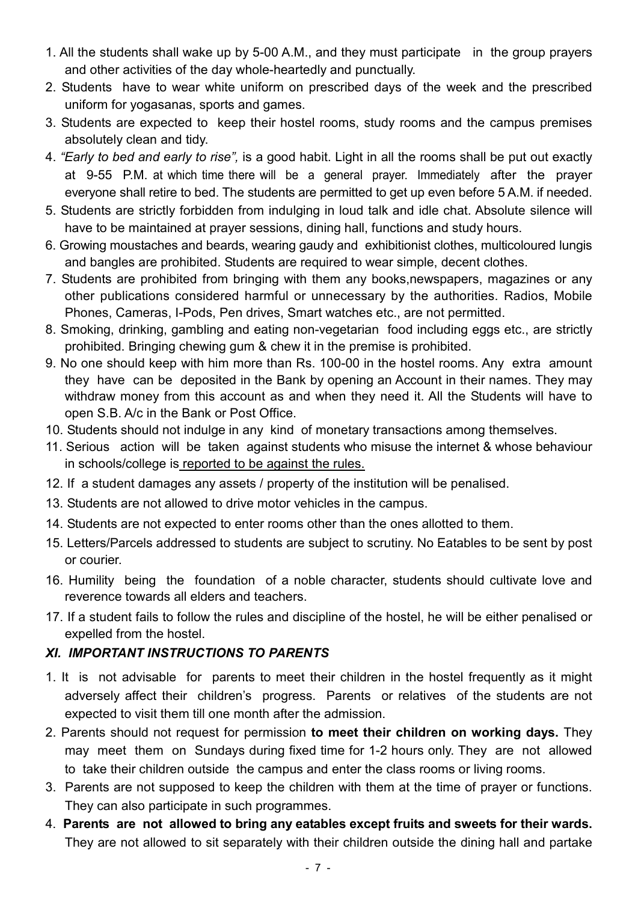- 1. All the students shall wake up by 5-00 A.M., and they must participate in the group prayers and other activities of the day whole-heartedly and punctually.
- 2. Students have to wear white uniform on prescribed days of the week and the prescribed uniform for yogasanas, sports and games.
- 3. Students are expected to keep their hostel rooms, study rooms and the campus premises absolutely clean and tidy.
- 4. "Early to bed and early to rise", is a good habit. Light in all the rooms shall be put out exactly at 9-55 P.M. at which time there will be a general prayer. Immediately after the prayer everyone shall retire to bed. The students are permitted to get up even before 5 A.M. if needed.
- 5. Students are strictly forbidden from indulging in loud talk and idle chat. Absolute silence will have to be maintained at prayer sessions, dining hall, functions and study hours.
- 6. Growing moustaches and beards, wearing gaudy and exhibitionist clothes, multicoloured lungis and bangles are prohibited. Students are required to wear simple, decent clothes.
- 7. Students are prohibited from bringing with them any books,newspapers, magazines or any other publications considered harmful or unnecessary by the authorities. Radios, Mobile Phones, Cameras, I-Pods, Pen drives, Smart watches etc., are not permitted.
- 8. Smoking, drinking, gambling and eating non-vegetarian food including eggs etc., are strictly prohibited. Bringing chewing gum & chew it in the premise is prohibited.
- 9. No one should keep with him more than Rs. 100-00 in the hostel rooms. Any extra amount they have can be deposited in the Bank by opening an Account in their names. They may withdraw money from this account as and when they need it. All the Students will have to open S.B. A/c in the Bank or Post Office.
- 10. Students should not indulge in any kind of monetary transactions among themselves.
- 11. Serious action will be taken against students who misuse the internet & whose behaviour in schools/college is reported to be against the rules.
- 12. If a student damages any assets / property of the institution will be penalised.
- 13. Students are not allowed to drive motor vehicles in the campus.
- 14. Students are not expected to enter rooms other than the ones allotted to them.
- 15. Letters/Parcels addressed to students are subject to scrutiny. No Eatables to be sent by post or courier.
- 16. Humility being the foundation of a noble character, students should cultivate love and reverence towards all elders and teachers.
- 17. If a student fails to follow the rules and discipline of the hostel, he will be either penalised or expelled from the hostel.

# XI. IMPORTANT INSTRUCTIONS TO PARENTS

- 1. It is not advisable for parents to meet their children in the hostel frequently as it might adversely affect their children's progress. Parents or relatives of the students are not expected to visit them till one month after the admission.
- 2. Parents should not request for permission to meet their children on working days. They may meet them on Sundays during fixed time for 1-2 hours only. They are not allowed to take their children outside the campus and enter the class rooms or living rooms.
- 3. Parents are not supposed to keep the children with them at the time of prayer or functions. They can also participate in such programmes.
- 4. Parents are not allowed to bring any eatables except fruits and sweets for their wards. They are not allowed to sit separately with their children outside the dining hall and partake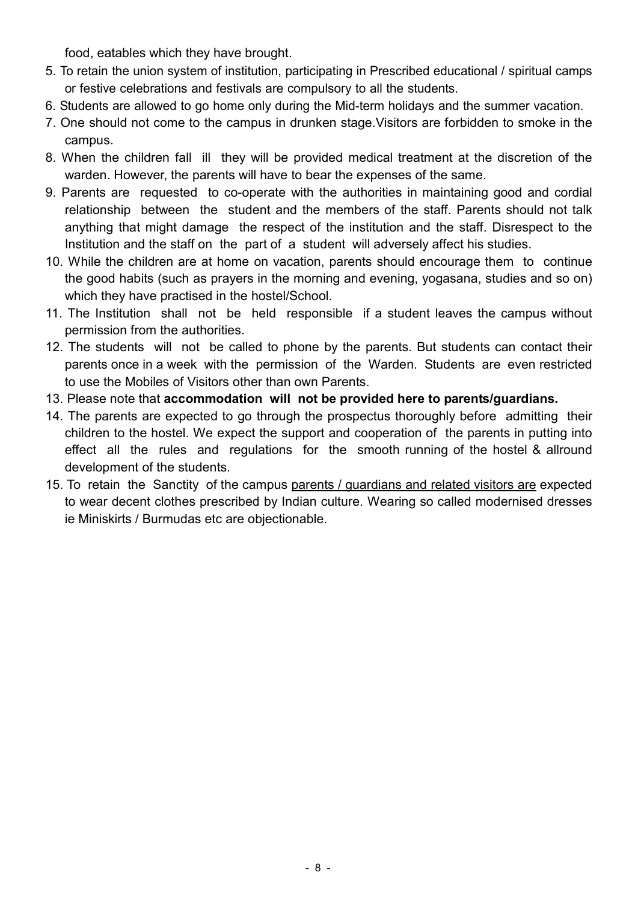food, eatables which they have brought.

- 5. To retain the union system of institution, participating in Prescribed educational / spiritual camps or festive celebrations and festivals are compulsory to all the students.
- 6. Students are allowed to go home only during the Mid-term holidays and the summer vacation.
- 7. One should not come to the campus in drunken stage.Visitors are forbidden to smoke in the campus.
- 8. When the children fall ill they will be provided medical treatment at the discretion of the warden. However, the parents will have to bear the expenses of the same.
- 9. Parents are requested to co-operate with the authorities in maintaining good and cordial relationship between the student and the members of the staff. Parents should not talk anything that might damage the respect of the institution and the staff. Disrespect to the Institution and the staff on the part of a student will adversely affect his studies.
- 10. While the children are at home on vacation, parents should encourage them to continue the good habits (such as prayers in the morning and evening, yogasana, studies and so on) which they have practised in the hostel/School.
- 11. The Institution shall not be held responsible if a student leaves the campus without permission from the authorities.
- 12. The students will not be called to phone by the parents. But students can contact their parents once in a week with the permission of the Warden. Students are even restricted to use the Mobiles of Visitors other than own Parents.
- 13. Please note that accommodation will not be provided here to parents/guardians.
- 14. The parents are expected to go through the prospectus thoroughly before admitting their children to the hostel. We expect the support and cooperation of the parents in putting into effect all the rules and regulations for the smooth running of the hostel & allround development of the students.
- 15. To retain the Sanctity of the campus parents / guardians and related visitors are expected to wear decent clothes prescribed by Indian culture. Wearing so called modernised dresses ie Miniskirts / Burmudas etc are objectionable.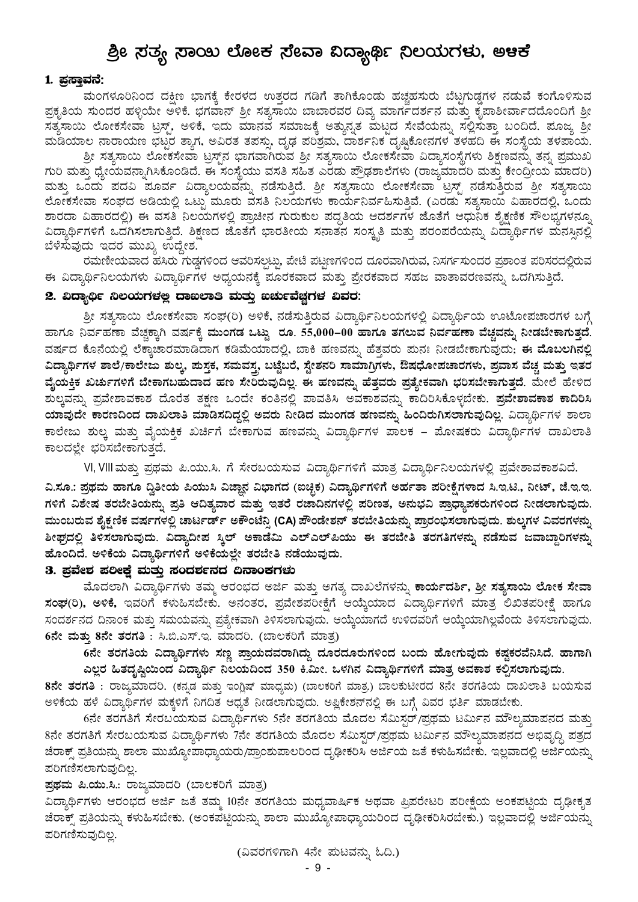# ಶ್ರೀ ಸತ್ಯ ಸಾಯಿ ಲೋಕ ಸೇವಾ ವಿದ್ಯಾರ್ಥಿ ನಿಲಯಗಳು, ಅಆಕೆ

#### 1. ಪ್ರಸ್ತಾವನೆ:

ಮಂಗಳೂರಿನಿಂದ ದಕ್ಷಿಣ ಭಾಗಕ್ಕೆ ಕೇರಳದ ಉತ್ತರದ ಗಡಿಗೆ ತಾಗಿಕೊಂಡು ಹಚ್ಚಹಸುರು ಬೆಟ್ಟಗುಡ್ಡಗಳ ನಡುವೆ ಕಂಗೊಳಿಸುವ ಪ್ರಕೃತಿಯ ಸುಂದರ ಹಳ್ಳಿಯೇ ಅಳಿಕೆ. ಭಗವಾನ್ ಶ್ರೀ ಸತ್ಯಸಾಯಿ ಬಾಬಾರವರ ದಿವ್ಯ ಮಾರ್ಗದರ್ಶನ ಮತ್ತು ಕೃಪಾಶೀರ್ವಾದದೊಂದಿಗೆ ಶ್ರೀ ಸತ್ಯಸಾಯಿ ಲೋಕಸೇವಾ ಟ್ರಸ್ಟ್, ಅಳಿಕೆ, ಇದು ಮಾನವ ಸಮಾಜಕ್ಕೆ ಅತ್ಯುನ್ನತ ಮಟ್ಟದ ಸೇವೆಯನ್ನು ಸಲ್ಲಿಸುತ್ತಾ ಬಂದಿದೆ. ಪೂಜ್ಯ ಶ್ರೀ ಮಡಿಯಾಲ ನಾರಾಯಣ ಭಟ್ಟರ ತ್ಯಾಗ, ಅವಿರತ ತಪಸ್ಸು, ದೃಢ ಪರಿಶ್ರಮ, ದಾರ್ಶನಿಕ ದೃಷ್ಟಿಕೋನಗಳ ತಳಹದಿ ಈ ಸಂಸ್ಥೆಯ ತಳಪಾಯ.

ಶ್ರೀ ಸತ್ಯಸಾಯಿ ಲೋಕಸೇವಾ ಟ್ರಸ್ತ್ರ್ನ ಭಾಗವಾಗಿರುವ ಶ್ರೀ ಸತ್ಯಸಾಯಿ ಲೋಕಸೇವಾ ವಿದ್ಯಾಸಂಸ್ಥೆಗಳು ಶಿಕ್ಷಣವನ್ನು ತನ್ನ ಪ್ರಮುಖ ಗುರಿ ಮತ್ತು ಧ್ಯೇಯವನ್ನಾಗಿಸಿಕೊಂಡಿದೆ. ಈ ಸಂಸ್ಥೆಯು ವಸತಿ ಸಹಿತ ಎರಡು ಪ್ರೌಢಶಾಲೆಗಳು (ರಾಜ್ಮಮಾದರಿ ಮತ್ತು ಕೇಂದ್ರೀಯ ಮಾದರಿ) ಮತ್ತು ಒಂದು ಪದವಿ ಪೂರ್ವ ವಿದ್ಯಾಲಯವನ್ನು ನಡೆಸುತ್ತಿದೆ. ಶ್ರೀ ಸತ್ಯಸಾಯಿ ಲೋಕಸೇವಾ ಟ್ರಸ್ಟ್ ನಡೆಸುತ್ತಿರುವ ಶ್ರೀ ಸತ್ಯಸಾಯಿ ಲೋಕಸೇವಾ ಸಂಘದ ಅಡಿಯಲ್ಲಿ ಒಟ್ಟು ಮೂರು ವಸತಿ ನಿಲಯಗಳು ಕಾರ್ಯನಿರ್ವಹಿಸುತ್ತಿವೆ. (ಎರಡು ಸತ್ಯಸಾಯಿ ವಿಹಾರದಲ್ಲಿ, ಒಂದು ಶಾರದಾ ವಿಹಾರದಲ್ಲಿ) ಈ ವಸತಿ ನಿಲಯಗಳಲ್ಲಿ ಪ್ರಾಚೀನ ಗುರುಕುಲ ಪದ್ಧತಿಯ ಆದರ್ಶಗಳ ಜೊತೆಗೆ ಆಧುನಿಕ ಶೈಕ್ಷಣಿಕ ಸೌಲಭ್ಯಗಳನ್ನೂ ವಿದ್ಯಾರ್ಥಿಗಳಿಗೆ ಒದಗಿಸಲಾಗುತ್ತಿದೆ. ಶಿಕ್ಷಣದ ಜೊತೆಗೆ ಭಾರತೀಯ ಸನಾತನ ಸಂಸ್ಕೃತಿ ಮತ್ತು ಪರಂಪರೆಯನ್ನು ವಿದ್ಯಾರ್ಥಿಗಳ ಮನಸ್ಸಿನಲ್ಲಿ ಬೆಳೆಸುವುದು ಇದರ ಮುಖ್ಯ ಉದ್ದೇಶ.

ರಮಣೀಯವಾದ ಹಸಿರು ಗುಡ್ಡಗಳಿಂದ ಆವರಿಸಲ್ಪಟ್ಟು, ಪೇಟೆ ಪಟ್ಟಣಗಳಿಂದ ದೂರವಾಗಿರುವ, ನಿಸರ್ಗಸುಂದರ ಪ್ರಶಾಂತ ಪರಿಸರದಲ್ಲಿರುವ ಈ ವಿದ್ಯಾರ್ಥಿನಿಲಯಗಳು ವಿದ್ಯಾರ್ಥಿಗಳ ಅಧ್ಯಯನಕ್ಕೆ ಪೂರಕವಾದ ಮತ್ತು ಪ್ರೇರಕವಾದ ಸಹಜ ವಾತಾವರಣವನ್ನು ಒದಗಿಸುತ್ತಿದೆ.

#### 2. ವಿದ್ಯಾರ್ಥಿ ನಿಲಯಗಳಲ್ಲ ದಾಐಲಾತಿ ಮತ್ತು ಐರ್ಚುವೆಚ್ಚಗಳ ವಿವರ:

ಶ್ರೀ ಸತ್ಯಸಾಯಿ ಲೋಕಸೇವಾ ಸಂಘ(ರಿ) ಅಳಿಕೆ, ನಡೆಸುತ್ತಿರುವ ವಿದ್ಯಾರ್ಥಿನಿಲಯಗಳಲ್ಲಿ ವಿದ್ಯಾರ್ಥಿಯ ಊಟೋಪಚಾರಗಳ ಬಗ್ಗೆ ಹಾಗೂ ನಿರ್ವಹಣಾ ವೆಚ್ಚಕ್ತಾಗಿ ವರ್ಷಕ್ತೆ ಮುಂಗಡ ಒಟ್ಟು ರೂ. 55,000–00 ಹಾಗೂ ತಗಲುವ ನಿರ್ವಹಣಾ ವೆಚ್ಚವನ್ನು ನೀಡಬೇಕಾಗುತ್ತದೆ. ವರ್ಷದ ಕೊನೆಯಲ್ಲಿ ಲೆಕ್ಕಾಚಾರಮಾಡಿದಾಗ ಕಡಿಮೆಯಾದಲ್ಲಿ, ಬಾಕಿ ಹಣವನ್ನು ಹೆತ್ತವರು ಮನಃ ನೀಡಬೇಕಾಗುವುದು; ಈ ಮೊಬಲಗಿನಲ್ಲಿ ವಿದ್ಯಾರ್ಥಿಗಳ ಶಾಲೆ/ಕಾಲೇಜು ಶುಲ್ಕ, ಪುಸ್ತಕ, ಸಮವಸ್ತ, ಬಟ್ಟೆಬರೆ, ಸ್ಟೇಶನರಿ ಸಾಮಾಗ್ರಿಗಳು, ಔಷಧೋಪಚಾರಗಳು, ಪ್ರವಾಸ ವೆಚ್ಚ ಮತ್ತು ಇತರ ವೈಯಕ್ತಿಕ ಖರ್ಚುಗಳಿಗೆ ಬೇಕಾಗಬಹುದಾದ ಹಣ ಸೇರಿರುವುದಿಲ್ಲ. ಈ ಹಣವನ್ನು ಹೆತ್ತವರು ಪ್ರತ್ಯೇಕವಾಗಿ ಭರಿಸಬೇಕಾಗುತ್ತದೆ. ಮೇಲೆ ಹೇಳಿದ ಶುಲ್ಕವನ್ನು ಪ್ರವೇಶಾವಕಾಶ ದೊರೆತ ತಕ್ಷಣ ಒಂದೇ ಕಂತಿನಲ್ಲಿ ಪಾವತಿಸಿ ಅವಕಾಶವನ್ನು ಕಾದಿರಿಸಿಕೊಳ್ಳಬೇಕು. <mark>ಪ್ರವೇಶಾವಕಾಶ ಕಾದಿರಿಸಿ</mark> ಯಾವುದೇ ಕಾರಣದಿಂದ ದಾಖಲಾತಿ ಮಾಡಿಸದಿದ್ದಲ್ಲಿ ಅವರು ನೀಡಿದ ಮುಂಗಡ ಹಣವನ್ನು ಹಿಂದಿರುಗಿಸಲಾಗುವುದಿಲ್ಲ. ವಿದ್ಯಾರ್ಥಿಗಳ ಶಾಲಾ ಕಾಲೇಜು ಶುಲ್ಕ ಮತ್ತು ವೈಯಕ್ತಿಕ ಖರ್ಚಿಗೆ ಬೇಕಾಗುವ ಹಣವನ್ನು ವಿದ್ಯಾರ್ಥಿಗಳ ಪಾಲಕ – ಮೋಷಕರು ವಿದ್ಯಾರ್ಥಿಗಳ ದಾಖಲಾತಿ ಕಾಲದಲ್ಲೇ ಭರಿಸಬೇಕಾಗುತ್ತದೆ.

VI, VIII ಮತ್ತು ಪ್ರಥಮ ಪಿ.ಯು.ಸಿ. ಗೆ ಸೇರಬಯಸುವ ವಿದ್ಯಾರ್ಥಿಗಳಿಗೆ ಮಾತ್ರ ವಿದ್ಯಾರ್ಥಿನಿಲಯಗಳಲ್ಲಿ ಪ್ರವೇಶಾವಕಾಶವಿದೆ.

ವಿ.ಸೂ.: ಪ್ರಥಮ ಹಾಗೂ ದ್ವಿತೀಯ ಪಿಯುಸಿ ವಿಜ್ಞಾನ ವಿಭಾಗದ (ಐಚ್ಛಿಕ) ವಿದ್ಯಾರ್ಥಿಗಳಿಗೆ ಅರ್ಹತಾ ಪರೀಕ್ಷೆಗಳಾದ ಸಿ.ಇ.ಟಿ., ನೀಟ್, ಜೆ.ಇ.ಇ. ಗಳಿಗೆ ವಿಶೇಷ ತರಬೇತಿಯನ್ನು ಪ್ರತಿ ಆದಿತ್ಯವಾರ ಮತ್ತು ಇತರೆ ರಜಾದಿನಗಳಲ್ಲಿ ಪರಿಣತ, ಅನುಭವಿ ಪ್ರಾಧ್ಯಾಪಕರುಗಳಿಂದ ನೀಡಲಾಗುವುದು. ಮುಂಬರುವ ಶೈಕ್ಷಣಿಕ ವರ್ಷಗಳಲ್ಲಿ ಚಾರ್ಟರ್ಡ್ ಅಕೌಂಟೆನ್ಸಿ (CA) ಪೌಂಡೇಶನ್ ತರಬೇತಿಯನ್ನು ಪ್ರಾರಂಭಿಸಲಾಗುವುದು. ಶುಲ್ತಗಳ ವಿವರಗಳನ್ನ ಶೀಘ್ರದಲ್ಲಿ ತಿಳಿಸಲಾಗುವುದು. ವಿದ್ಯಾದೀಪ ಸ್ಕಿಲ್ ಅಕಾಡೆಮಿ ಎಲ್ಎಲ್ಪಿಯು ಈ ತರಬೇತಿ ತರಗತಿಗಳನ್ನು ನಡೆಸುವ ಜವಾಬ್ದಾರಿಗಳನ್ನು ಹೊಂದಿದೆ. ಅಳಿಕೆಯ ವಿದ್ಯಾರ್ಥಿಗಳಿಗೆ ಅಳಿಕೆಯಲ್ಲೇ ತರಬೇತಿ ನಡೆಯುವುದು.

#### 3. ಪ್ರವೇಶ ಪಲೀಕ್ಷೆ ಮತ್ತು ಸಂದರ್ಶನದ ದಿನಾಂಕಗಳು

ಮೊದಲಾಗಿ ವಿದ್ಯಾರ್ಥಿಗಳು ತಮ್ಮ ಆರಂಭದ ಅರ್ಜಿ ಮತ್ತು ಅಗತ್ಯ ದಾಖಲೆಗಳನ್ನು **ಕಾರ್ಯದರ್ಶಿ, ಶ್ರೀ ಸತ್ಯಸಾಯಿ ಲೋಕ ಸೇವಾ** ಸಂಘ(ರಿ), ಅಳಿಕೆ, ಇವರಿಗೆ ಕಳುಹಿಸಬೇಕು. ಅನಂತರ, ಪ್ರವೇಶಪರೀಕ್ಷೆಗೆ ಆಯ್ಕೆಯಾದ ವಿದ್ಯಾರ್ಥಿಗಳಿಗೆ ಮಾತ್ರ ಲಿಖಿತಪರೀಕ್ಷೆ ಹಾಗೂ ಸಂದರ್ಶನದ ದಿನಾಂಕ ಮತ್ತು ಸಮಯವನ್ನು ಪ್ರತ್ಯೇಕವಾಗಿ ತಿಳಿಸಲಾಗುವುದು. ಆಯ್ಕೆಯಾಗದೆ ಉಳಿದವರಿಗೆ ಆಯ್ಕೆಯಾಗಿಲ್ಲವೆಂದು ತಿಳಿಸಲಾಗುವುದು. 6ನೇ ಮತ್ತು 8ನೇ ತರಗತಿ : ಸಿ.ಬಿ.ಎಸ್.ಇ. ಮಾದರಿ. (ಬಾಲಕರಿಗೆ ಮಾತ್ರ)

6ನೇ ತರಗತಿಯ ವಿದ್ಯಾರ್ಥಿಗಳು ಸಣ್ಣ ಪ್ರಾಯದವರಾಗಿದ್ದು ದೂರದೂರುಗಳಿಂದ ಬಂದು ಹೋಗುವುದು ಕಷ್ಟಕರವೆನಿಸಿದೆ. ಹಾಗಾಗಿ ಎಲ್ಲರ ಹಿತದೃಷ್ಟಿಯಿಂದ ವಿದ್ಯಾರ್ಥಿ ನಿಲಯದಿಂದ 350 ಕಿ.ಮೀ. ಒಳಗಿನ ವಿದ್ಯಾರ್ಥಿಗಳಿಗೆ ಮಾತ್ರ ಅವಕಾಶ ಕಲ್ಪಿಸಲಾಗುವುದು.

8ನೇ ತರಗತಿ : ರಾಜ್ಯಮಾದರಿ. (ಕನ್ನಡ ಮತ್ತು ಇಂಗ್ಲಿಷ್ ಮಾಧ್ಯಮ) (ಬಾಲಕರಿಗೆ ಮಾತ್ರ.) ಬಾಲಕುಟೀರದ 8ನೇ ತರಗತಿಯ ದಾಖಲಾತಿ ಬಯಸುವ ಅಳಿಕೆಯ ಹಳೆ ವಿದ್ಯಾರ್ಥಿಗಳ ಮಕ್ಕಳಿಗೆ ನಿಗದಿತ ಆಧ್ಯತೆ ನೀಡಲಾಗುವುದು. ಅಪ್ಲಿಕೇಶನ್**ನಲ್ಲಿ ಈ ಬಗ್ಗೆ ವಿವರ ಭರ್ತಿ ಮಾಡಬೇಕು**.

6ನೇ ತರಗತಿಗೆ ಸೇರಬಯಸುವ ವಿದ್ಯಾರ್ಥಿಗಳು 5ನೇ ತರಗತಿಯ ಮೊದಲ ಸೆಮಿಸ್ಟರ್/ಪ್ರಥಮ ಟರ್ಮಿನ ಮೌಲ್ಯಮಾಪನದ ಮತ್ತು 8ನೇ ತರಗತಿಗೆ ಸೇರಬಯಸುವ ವಿದ್ಯಾರ್ಥಿಗಳು 7ನೇ ತರಗತಿಯ ಮೊದಲ ಸೆಮಿಸ್ಟರ್/ಪ್ರಥಮ ಟರ್ಮಿನ ಮೌಲ್ಯಮಾಪನದ ಅಭಿವೃದ್ಧಿ ಪತ್ರದ ಜೆರಾಕ್ಸ್ ಪ್ರತಿಯನ್ನು ಶಾಲಾ ಮುಖ್ಯೋಪಾಧ್ಯಾಯರು/ಪ್ರಾಂಶುಪಾಲರಿಂದ ದೃಢೀಕರಿಸಿ ಅರ್ಜಿಯ ಜತೆ ಕಳುಹಿಸಬೇಕು. ಇಲ್ಲವಾದಲ್ಲಿ ಅರ್ಜಿಯನ್ನು ಪರಿಗಣಿಸಲಾಗುವುದಿಲ್ಲ.

ತ್ರಥಮ ಪಿ.ಯು.ಸಿ.: ರಾಜ್ಯಮಾದರಿ (ಬಾಲಕರಿಗೆ ಮಾತ್ರ)

ವಿದ್ಯಾರ್ಥಿಗಳು ಆರಂಭದ ಅರ್ಜಿ ಜತೆ ತಮ್ಮ 10ನೇ ತರಗತಿಯ ಮಧ್ಯವಾರ್ಷಿಕ ಅಥವಾ ಪ್ರಿಪರೇಟರಿ ಪರೀಕ್ಷೆಯ ಅಂಕಪಟ್ಟಿಯ ದೃಢೀಕೃತ ಜೆರಾಕ್ಸ್ ಪ್ರತಿಯನ್ನು ಕಳುಹಿಸಬೇಕು. (ಅಂಕಪಟ್ಟಿಯನ್ನು ಶಾಲಾ ಮುಖ್ಯೋಪಾಧ್ಯಾಯರಿಂದ ದೃಢೀಕರಿಸಿರಬೇಕು.) ಇಲ್ಲವಾದಲ್ಲಿ ಅರ್ಜಿಯನ್ನು ಪರಿಗಣಿಸುವುದಿಲ್ಲ.

(ವಿವರಗಳಿಗಾಗಿ 4ನೇ ಮಟವನ್ನು ಓದಿ.)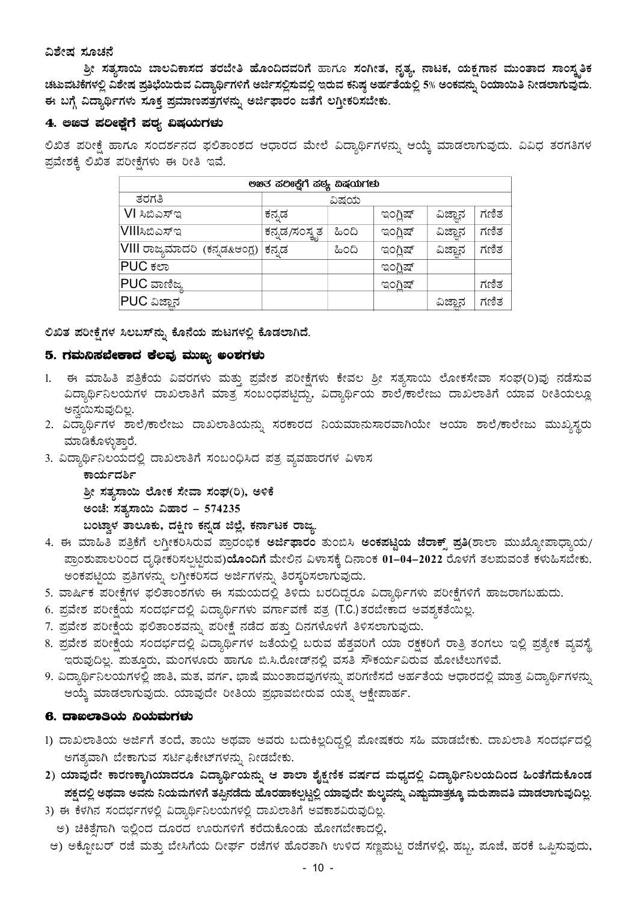#### ವಿಶೇಷ ಸೂಚನೆ

ಶ್ರೀ ಸತ್ಯಸಾಯಿ ಬಾಲವಿಕಾಸದ ತರಬೇತಿ ಹೊಂದಿದವರಿಗೆ ಹಾಗೂ ಸಂಗೀತ, ನೃತ್ಯ, ನಾಟಕ, ಯಕ್ಷಗಾನ ಮುಂತಾದ ಸಾಂಸ್ತತಿಕ ಚಟುವಟಿಕೆಗಳಲ್ಲಿ ವಿಶೇಷ ಪ್ರತಿಭೆಯಿರುವ ವಿದ್ಯಾರ್ಥಿಗಳಿಗೆ ಅರ್ಜಿಸಲ್ಲಿಸುವಲ್ಲಿ ಇರುವ ಕನಿಷ್ಠ ಅರ್ಹತೆಯಲ್ಲಿ 5% ಅಂಕವನ್ನು ರಿಯಾಯಿತಿ ನೀಡಲಾಗುವುದು. ಈ ಬಗ್ಗೆ ವಿದ್ಯಾರ್ಥಿಗಳು ಸೂಕ್ತ ಪ್ರಮಾಣಪತ್ರಗಳನ್ನು ಅರ್ಜಿಫಾರಂ ಜತೆಗೆ ಲಗ್ತೀಕರಿಸಬೇಕು.

#### 4. ಅಙತ ಪಲೀಕ್ಷೆಗೆ ಪಠ್ಯ ವಿಷಯಗಳು

ಲಿಖಿತ ಪರೀಕ್ಷೆ ಹಾಗೂ ಸಂದರ್ಶನದ ಫಲಿತಾಂಶದ ಆಧಾರದ ಮೇಲೆ ವಿದ್ಯಾರ್ಥಿಗಳನ್ನು ಆಯ್ಕೆ ಮಾಡಲಾಗುವುದು. ವಿವಿಧ ತರಗತಿಗಳ ಪ್ರವೇಶಕ್ಕೆ ಲಿಖಿತ ಪರೀಕ್ಷೆಗಳು ಈ ರೀತಿ ಇವೆ.

| ಅಖತ ಹಲೀಕ್ಲೆಗೆ ಹಠ್ಯ ವಿಷಯಗಳು     |                              |       |                 |         |      |
|--------------------------------|------------------------------|-------|-----------------|---------|------|
| ತರಗತಿ                          |                              | ವಿಷಯ  |                 |         |      |
| VI ಸಿಬಿಎಸ್ಇ                    | ಕನ್ನಡ                        |       | ಇಂಗ್ಲಿಷ್        | ವಿಜ್ಞಾನ | ಗಣಿತ |
| VIIIಸಿಬಿಎಸ್ಇ                   | <sub>।</sub> ಕನ್ನಡ/ಸಂಸ್ಕೃತ ' | ಹಿಂದಿ | ಇಂಗ್ಲಿಷ್        | ವಿಜ್ಞಾನ | ಗಣಿತ |
| VIII ರಾಜ್ಯಮಾದರಿ  (ಕನ್ನಡ&ಆಂಗ್ಲ) | ಕನ್ನಡ                        | ಹಿಂದಿ | ಇಂಗ್ಲಿಷ್        | ವಿಜ್ಞಾನ | ಗಣಿತ |
| IPUC ಕಲಾ                       |                              |       | ಇಂಗ್ಲಿಷ್        |         |      |
| PUC ವಾಣಿಜ್ಯ                    |                              |       | <u>ಇಂಗ್ಲಿಷ್</u> |         | ಗಣಿತ |
| $ {\sf PUC}$ ವಿಜ್ಞಾನ           |                              |       |                 | ವಿಜ್ಞಾನ | ಗಣಿತ |

ಲಿಖಿತ ಪರೀಕ್ಷೆಗಳ ಸಿಲಬಸ್ನವು ಕೊನೆಯ ಮಟಗಳಲ್ಲಿ ಕೊಡಲಾಗಿದೆ.

#### 5. ಗಮನಿಸಬೇಕಾದ ಕೆಲವು ಮುಖ್ಯ ಅಂಶಗಳು

- 1. ಈ ಮಾಹಿತಿ ಪತ್ರಿಕೆಯ ವಿವರಗಳು ಮತ್ತು ಪ್ರವೇಶ ಪರೀಕ್ಷೆಗಳು ಕೇವಲ ಶ್ರೀ ಸತ್ಯಸಾಯಿ ಲೋಕಸೇವಾ ಸಂಘ(ರಿ)ವು ನಡೆಸುವ ವಿದ್ಯಾರ್ಥಿನಿಲಯಗಳ ದಾಖಲಾತಿಗೆ ಮಾತ್ರ ಸಂಬಂಧಪಟ್ಟಿದ್ದು, ವಿದ್ಯಾರ್ಥಿಯ ಶಾಲೆ/ಕಾಲೇಜು ದಾಖಲಾತಿಗೆ ಯಾವ ರೀತಿಯಲ್ಲೂ ಅನ್ವಯಿಸುವುದಿಲ್ಲ.
- 2. ವಿದ್ಯಾರ್ಥಿಗಳ ಶಾಲೆ/ಕಾಲೇಜು ದಾಖಲಾತಿಯನ್ನು ಸರಕಾರದ ನಿಯಮಾನುಸಾರವಾಗಿಯೇ ಆಯಾ ಶಾಲೆ/ಕಾಲೇಜು ಮುಖ್ಯಸ್ಥರು ಮಾಡಿಕೊಳ್ಳುತ್ತಾರೆ.
- 3. ವಿದ್ಯಾರ್ಥಿನಿಲಯದಲ್ಲಿ ದಾಖಲಾತಿಗೆ ಸಂಬಂಧಿಸಿದ ಪತ್ರ ವ್ಯವಹಾರಗಳ ವಿಳಾಸ

ಕಾರ್ಯದರ್ಶಿ ಶ್ರೀ ಸತ್ಯಸಾಯಿ ಲೋಕ ಸೇವಾ ಸಂಘ(ರಿ), ಅಳಿಕೆ ಅಂಚೆ: ಸತ್ಯಸಾಯಿ ವಿಹಾರ – 574235 ಬಂಟ್ತಾಳ ತಾಲೂಕು, ದಕ್ಷಿಣ ಕನ್ನಡ ಜಿಲ್ಲೆ, ಕರ್ನಾಟಕ ರಾಜ್ಯ

- 4. ಈ ಮಾಹಿತಿ ಪತ್ರಿಕೆಗೆ ಲಗ್ಲೀಕರಿಸಿರುವ ಪ್ರಾರಂಭಿಕ <mark>ಅರ್ಜಿಫಾರಂ</mark> ತುಂಬಿಸಿ <mark>ಅಂಕಪಟ್ಟಿಯ ಜೆರಾಕ್ಸ್ ಪ್ರತಿ</mark>(ಶಾಲಾ ಮುಖ್ಯೋಪಾಧ್ಯಾಯ/ ಪ್ರಾಂಶುಪಾಲರಿಂದ ದೃಢೀಕರಿಸಲ್ಪಟ್ಟಿರುವ)ಯೊಂದಿಗೆ ಮೇಲಿನ ವಿಳಾಸಕ್ಕೆ ದಿನಾಂಕ 01–04–2022 ರೊಳಗೆ ತಲಮವಂತೆ ಕಳುಹಿಸಬೇಕು. ಅಂಕಪಟ್ಟಿಯ ಪ್ರತಿಗಳನ್ನು ಲಗ್ತೀಕರಿಸದ ಅರ್ಜಿಗಳನ್ನು ತಿರಸ್ಕರಿಸಲಾಗುವುದು.
- 5. ವಾರ್ಷಿಕ ಪರೀಕ್ಷೆಗಳ ಫಲಿತಾಂಶಗಳು ಈ ಸಮಯದಲ್ಲಿ ತಿಳಿದು ಬರದಿದ್ದರೂ ವಿದ್ಯಾರ್ಥಿಗಳು ಪರೀಕ್ಷೆಗಳಿಗೆ ಹಾಜರಾಗಬಹುದು.
- 6. ಪ್ರವೇಶ ಪರೀಕ್ಷೆಯ ಸಂದರ್ಭದಲ್ಲಿ ವಿದ್ಯಾರ್ಥಿಗಳು ವರ್ಗಾವಣೆ ಪತ್ರ (T.C.) ತರಬೇಕಾದ ಅವಶ್ಯಕತೆಯಿಲ್ಲ.
- 7. ಪ್ರವೇಶ ಪರೀಕ್ಷೆಯ ಫಲಿತಾಂಶವನ್ನು ಪರೀಕ್ಷೆ ನಡೆದ ಹತ್ತು ದಿನಗಳೊಳಗೆ ತಿಳಿಸಲಾಗುವುದು.
- 8. ಪ್ರವೇಶ ಪರೀಕ್ಷೆಯ ಸಂದರ್ಭದಲ್ಲಿ ವಿದ್ಯಾರ್ಥಿಗಳ ಜತೆಯಲ್ಲಿ ಬರುವ ಹೆತ್ತವರಿಗೆ ಯಾ ರಕ್ಷಕರಿಗೆ ರಾತ್ರಿ ತಂಗಲು ಇಲ್ಲಿ ಪ್ರತ್ಯೇಕ ವ್ಯವಸ್ಥೆ ಇರುವುದಿಲ್ಲ. ಮತ್ತೂರು, ಮಂಗಳೂರು ಹಾಗೂ ಬಿ.ಸಿ.ರೋಡ್ ನಲ್ಲಿ ವಸತಿ ಸೌಕರ್ಯವಿರುವ ಹೋಟೆಲುಗಳಿವೆ.
- 9. ವಿದ್ಯಾರ್ಥಿನಿಲಯಗಳಲ್ಲಿ ಜಾತಿ, ಮತ, ವರ್ಗ, ಭಾಷೆ ಮುಂತಾದವುಗಳನ್ನು ಪರಿಗಣಿಸದೆ ಅರ್ಹತೆಯ ಆಧಾರದಲ್ಲಿ ಮಾತ್ರ ವಿದ್ಯಾರ್ಥಿಗಳನ್ನು ಆಯ್ಕೆ ಮಾಡಲಾಗುವುದು. ಯಾವುದೇ ರೀತಿಯ ಪ್ರಭಾವಬೀರುವ ಯತ್ಸ ಆಕ್ಷೇಪಾರ್ಹ.

#### 6. ದಾಐಲಾತಿಯ ನಿಯಮಗಳು

- 1) ದಾಖಲಾತಿಯ ಅರ್ಜಿಗೆ ತಂದೆ, ತಾಯಿ ಅಥವಾ ಅವರು ಬದುಕಿಲ್ಲದಿದ್ದಲ್ಲಿ ಮೋಷಕರು ಸಹಿ ಮಾಡಬೇಕು. ದಾಖಲಾತಿ ಸಂದರ್ಭದಲ್ಲಿ ಅಗತ್ಯವಾಗಿ ಬೇಕಾಗುವ ಸರ್ಟಿಫಿಕೇಟ್ಗಳನ್ನು ನೀಡಬೇಕು.
- 2) ಯಾವುದೇ ಕಾರಣಕ್ಕಾಗಿಯಾದರೂ ವಿದ್ಯಾರ್ಥಿಯನ್ನು ಆ ಶಾಲಾ ಶೈಕ್ಷಣಿಕ ವರ್ಷದ ಮಧ್ಯದಲ್ಲಿ ವಿದ್ಯಾರ್ಥಿನಿಲಯದಿಂದ ಹಿಂತೆಗೆದುಕೊಂಡ ಪಕ್ಷದಲ್ಲಿ ಅಥವಾ ಅವನು ನಿಯಮಗಳಿಗೆ ತಪ್ಪಿನಡೆದು ಹೊರಹಾಕಲ್ಪಟ್ಟಲ್ಲಿ ಯಾವುದೇ ಶುಲ್ಕವನ್ನು ಎಷ್ಟುಮಾತ್ರಕ್ಕೂ ಮರುಪಾವತಿ ಮಾಡಲಾಗುವುದಿಲ್ಲ.
- 3) ಈ ಕೆಳಗಿನ ಸಂದರ್ಭಗಳಲ್ಲಿ ವಿದ್ಯಾರ್ಥಿನಿಲಯಗಳಲ್ಲಿ ದಾಖಲಾತಿಗೆ ಅವಕಾಶವಿರುವುದಿಲ್ಲ.
	- ಅ) ಚಿಕಿತ್ತೆಗಾಗಿ ಇಲ್ಲಿಂದ ದೂರದ ಊರುಗಳಿಗೆ ಕರೆದುಕೊಂಡು ಹೋಗಬೇಕಾದಲ್ಲಿ,
- ಆ) ಅಕ್ಸೋಬರ್ ರಜೆ ಮತ್ತು ಬೇಸಿಗೆಯ ದೀರ್ಘ ರಜೆಗಳ ಹೊರತಾಗಿ ಉಳಿದ ಸಣ್ಣಮಟ್ಟ ರಜೆಗಳಲ್ಲಿ, ಹಬ್ಬ, ಪೂಜೆ, ಹರಕೆ ಒಪ್ಪಿಸುವುದು,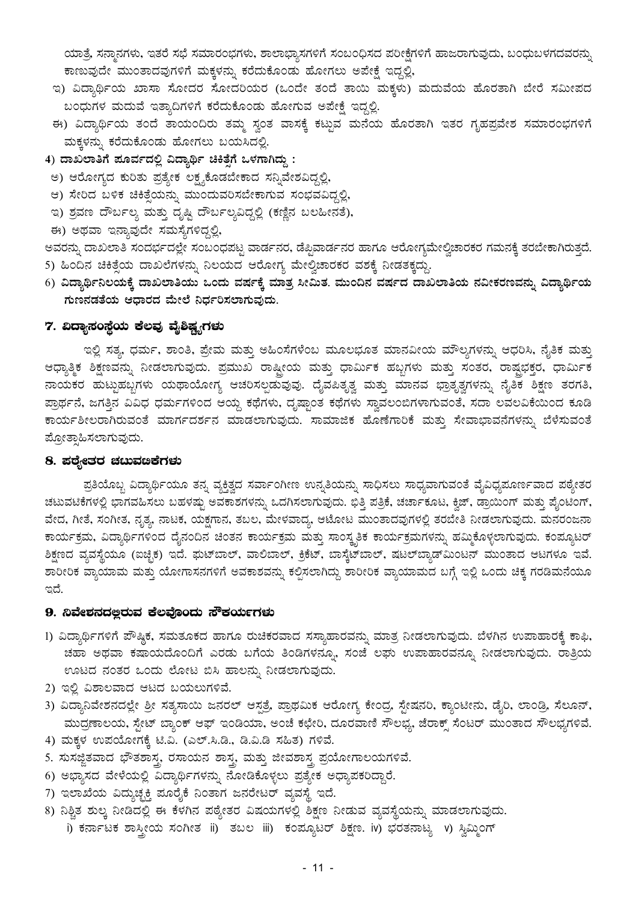ಯಾತ್ರೆ, ಸನ್ತಾನಗಳು, ಇತರೆ ಸಭೆ ಸಮಾರಂಭಗಳು, ಶಾಲಾಭ್ಯಾಸಗಳಿಗೆ ಸಂಬಂಧಿಸದ ಪರೀಕ್ಷೆಗಳಿಗೆ ಹಾಜರಾಗುವುದು, ಬಂಧುಬಳಗದವರನ್ನು ಕಾಣುವುದೇ ಮುಂತಾದವುಗಳಿಗೆ ಮಕ್ಕಳನ್ನು ಕರೆದುಕೊಂಡು ಹೋಗಲು ಅಪೇಕ್ಷೆ ಇದ್ದಲ್ಲಿ,

- ಇ) ವಿದ್ಯಾರ್ಥಿಯ ಖಾಸಾ ಸೋದರ ಸೋದರಿಯರ (ಒಂದೇ ತಂದೆ ತಾಯಿ ಮಕ್ಕಳು) ಮದುವೆಯ ಹೊರತಾಗಿ ಬೇರೆ ಸಮೀಪದ ಬಂಧುಗಳ ಮದುವೆ ಇತ್ಯಾದಿಗಳಿಗೆ ಕರೆದುಕೊಂಡು ಹೋಗುವ ಅಪೇಕ್ಷೆ ಇದ್ದಲ್ಲಿ.
- ಈ) ವಿದ್ಯಾರ್ಥಿಯ ತಂದೆ ತಾಯಂದಿರು ತಮ್ಮ ಸ್ವಂತ ವಾಸಕ್ಕೆ ಕಟ್ಟುವ ಮನೆಯ ಹೊರತಾಗಿ ಇತರ ಗೃಹಪ್ರವೇಶ ಸಮಾರಂಭಗಳಿಗೆ ಮಕ್ಕಳನ್ನು ಕರೆದುಕೊಂಡು ಹೋಗಲು ಬಯಸಿದಲ್ಲಿ.
- 4) ದಾಖಲಾತಿಗೆ ಪೂರ್ವದಲ್ಲಿ ವಿದ್ಯಾರ್ಥಿ ಚಿಕಿತ್ಸೆಗೆ ಒಳಗಾಗಿದ್ದು:
	- ಅ) ಆರೋಗ್ಯದ ಕುರಿತು ಪ್ರತ್ಯೇಕ ಲಕ್ಷ್ಯಕೊಡಬೇಕಾದ ಸನ್ನಿವೇಶವಿದ್ದಲ್ಲಿ,
	- ಆ) ಸೇರಿದ ಬಳಿಕ ಚಿಕಿತ್ಸೆಯನ್ನು ಮುಂದುವರಿಸಬೇಕಾಗುವ ಸಂಭವವಿದ್ದಲ್ಲಿ,
- ಇ) ಶ್ರವಣ ದೌರ್ಬಲ್ಯ ಮತ್ತು ದೃಷ್ಟಿ ದೌರ್ಬಲ್ಯವಿದ್ದಲ್ಲಿ (ಕಣ್ಣಿನ ಬಲಹೀನತೆ),
- ಈ) ಅಥವಾ ಇನ್ಯಾವುದೇ ಸಮಸ್ಯೆಗಳಿದ್ದಲ್ಲಿ,

ಅವರನ್ನು ದಾಖಲಾತಿ ಸಂದರ್ಭದಲ್ಲೇ ಸಂಬಂಧಪಟ್ಟ ವಾರ್ಡನರ, ಡೆಪ್ಪಿವಾರ್ಡನರ ಹಾಗೂ ಆರೋಗ್ಯಮೇಲ್ವಿಚಾರಕರ ಗಮನಕ್ಕೆ ತರಬೇಕಾಗಿರುತ್ತದೆ. 5) ಹಿಂದಿನ ಚಿಕಿತ್ಸೆಯ ದಾಖಲೆಗಳನ್ನು ನಿಲಯದ ಆರೋಗ್ಯ ಮೇಲ್ವಿಚಾರಕರ ವಶಕ್ಕೆ ನೀಡತಕ್ಕದ್ದು.

6) ವಿದ್ಯಾರ್ಥಿನಿಲಯಕ್ಕೆ ದಾಖಲಾತಿಯು ಒಂದು ವರ್ಷಕ್ಕೆ ಮಾತ್ರ ಸೀಮಿತ. ಮುಂದಿನ ವರ್ಷದ ದಾಖಲಾತಿಯ ನವೀಕರಣವನ್ನು ವಿದ್ಯಾರ್ಥಿಯ ಗುಣನಡತೆಯ ಆಧಾರದ ಮೇಲೆ ನಿರ್ಧರಿಸಲಾಗುವುದು.

#### 7. ವಿದ್ಯಾಸಂಸ್ಥೆಯ ಕೆಲವು ವೈಶಿಷ್ಟ್ಯಗ**ಳು**

ಇಲ್ಲಿ ಸತ್ಯ, ಧರ್ಮ, ಶಾಂತಿ, ಪ್ರೇಮ ಮತ್ತು ಅಹಿಂಸೆಗಳೆಂಬ ಮೂಲಭೂತ ಮಾನವೀಯ ಮೌಲ್ಯಗಳನ್ನು ಆಧರಿಸಿ, ನೈತಿಕ ಮತ್ತು ಆಧ್ಯಾತ್ಮಿಕ ಶಿಕ್ಷಣವನ್ನು ನೀಡಲಾಗುವುದು. ಪ್ರಮುಖ ರಾಷ್ಟ್ರೀಯ ಮತ್ತು ಧಾರ್ಮಿಕ ಹಬ್ಬಗಳು ಮತ್ತು ಸಂತರ, ರಾಷ್ಟಭಕ್ತರ, ಧಾರ್ಮಿಕ ನಾಯಕರ ಹುಟ್ಟುಹಬ್ಬಗಳು ಯಥಾಯೋಗ್ಯ ಆಚರಿಸಲ್ಪಡುವುವು. ದೈವಪಿತೃತ್ವ ಮತ್ತು ಮಾನವ ಭ್ರಾತೃತ್ವಗಳನ್ನು ನೈತಿಕ ಶಿಕ್ಷಣ ತರಗತಿ, ಪ್ರಾರ್ಥನೆ, ಜಗತ್ತಿನ ವಿವಿಧ ಧರ್ಮಗಳಿಂದ ಆಯ್ದ ಕಥೆಗಳು, ದೃಷ್ಟಾಂತ ಕಥೆಗಳು ಸ್ವಾವಲಂಬಿಗಳಾಗುವಂತೆ, ಸದಾ ಲವಲವಿಕೆಯಿಂದ ಕೂಡಿ ಕಾರ್ಯಶೀಲರಾಗಿರುವಂತೆ ಮಾರ್ಗದರ್ಶನ ಮಾಡಲಾಗುವುದು. ಸಾಮಾಜಿಕ ಹೊಣೆಗಾರಿಕೆ ಮತ್ತು ಸೇವಾಭಾವನೆಗಳನ್ನು ಬೆಳೆಸುವಂತೆ ಪ್ರೋತ್ಸಾಹಿಸಲಾಗುವುದು.

#### 8. ಪಠ್ಯೇತರ ಚಟುವೞಕೆಗಳು

ಪ್ರತಿಯೊಬ್ಬ ವಿದ್ಯಾರ್ಥಿಯೂ ತನ್ನ ವ್ಯಕ್ತಿತ್ವದ ಸರ್ವಾಂಗೀಣ ಉನ್ನತಿಯನ್ನು ಸಾಧಿಸಲು ಸಾಧ್ಯವಾಗುವಂತೆ ವೈವಿಧ್ಯಪೂರ್ಣವಾದ ಪಠ್ಯೇತರ ಚಟುವಟಿಕೆಗಳಲ್ಲಿ ಭಾಗವಹಿಸಲು ಬಹಳಷ್ಟು ಅವಕಾಶಗಳನ್ನು ಒದಗಿಸಲಾಗುವುದು. ಭಿತ್ತಿ ಪತ್ರಿಕೆ, ಚರ್ಚಾಕೂಟ, ಕ್ವಿಜ್, ಡ್ರಾಯಿಂಗ್ ಮತ್ತು ಪೈಂಟಿಂಗ್, ವೇದ, ಗೀತೆ, ಸಂಗೀತ, ನೃತ್ಯ, ನಾಟಕ, ಯಕ್ಷಗಾನ, ತಬಲ, ಮೇಳವಾದ್ಯ, ಆಟೋಟ ಮುಂತಾದವುಗಳಲ್ಲಿ ತರಬೇತಿ ನೀಡಲಾಗುವುದು. ಮನರಂಜನಾ ಕಾರ್ಯಕ್ರಮ, ವಿದ್ಯಾರ್ಥಿಗಳಿಂದ ದೈನಂದಿನ ಚಿಂತನ ಕಾರ್ಯಕ್ರಮ ಮತ್ತು ಸಾಂಸ್ಕೃತಿಕ ಕಾರ್ಯಕ್ರಮಗಳನ್ನು ಹಮ್ಮಿಕೊಳ್ಳಲಾಗುವುದು. ಕಂಪ್ಯೂಟರ್ ಶಿಕ್ಷಣದ ವ್ಯವಸ್ಥೆಯೂ (ಐಚ್ಛಿಕ) ಇದೆ. ಘುಟ್ಐಾಲ್, ವಾಲಿಬಾಲ್, ಕ್ರಿಕೆಟ್, ಬಾಸ್ಕೆಟ್ಐಾಲ್, ಷಟಲ್ಬ್ಯಾಡ್ಮುಂಟನ್ ಮುಂತಾದ ಆಟಗಳೂ ಇವೆ. ಶಾರೀರಿಕ ವ್ಯಾಯಾಮ ಮತ್ತು ಯೋಗಾಸನಗಳಿಗೆ ಅವಕಾಶವನ್ನು ಕಲ್ಪಿಸಲಾಗಿದ್ದು ಶಾರೀರಿಕ ವ್ಯಾಯಾಮದ ಬಗ್ಗೆ ಇಲ್ಲಿ ಒಂದು ಚಿಕ್ಕ ಗರಡಿಮನೆಯೂ ಇದೆ.

#### 9. ನಿವೇಶನದಲ್ಲರುವ ಕೆಲವೊಂದು ಸೌಕರ್ಯಗಳು

- 1) ವಿದ್ಯಾರ್ಥಿಗಳಿಗೆ ಪೌಷ್ಠಿಕ, ಸಮತೂಕದ ಹಾಗೂ ರುಚಿಕರವಾದ ಸಸ್ಯಾಹಾರವನ್ನು ಮಾತ್ರ ನೀಡಲಾಗುವುದು. ಬೆಳಗಿನ ಉಪಾಹಾರಕ್ಕೆ ಕಾಫಿ, ಚಹಾ ಅಥವಾ ಕಷಾಯದೊಂದಿಗೆ ಎರಡು ಬಗೆಯ ತಿಂಡಿಗಳನ್ನೂ, ಸಂಜೆ ಲಘು ಉಪಾಹಾರವನ್ನೂ ನೀಡಲಾಗುವುದು. ರಾತ್ರಿಯ ಊಟದ ನಂತರ ಒಂದು ಲೋಟ ಬಿಸಿ ಹಾಲನ್ನು ನೀಡಲಾಗುವುದು.
- 2) ಇಲ್ಲಿ ವಿಶಾಲವಾದ ಆಟದ ಬಯಲುಗಳಿವೆ.
- 3) ವಿದ್ಯಾನಿವೇಶನದಲ್ಲೇ ಶ್ರೀ ಸತ್ಯಸಾಯಿ ಜನರಲ್ ಆಸ್ಪತ್ರೆ, ಪ್ರಾಥಮಿಕ ಆರೋಗ್ಯ ಕೇಂದ್ರ, ಸ್ಟೇಷನರಿ, ಕ್ಯಾಂಟೀನು, ಡೈರಿ, ಲಾಂಡ್ರಿ, ಸೆಲೂನ್, ಮುದ್ರಣಾಲಯ, ಸ್ಟೇಟ್ ಬ್ಯಾಂಕ್ ಆಫ್ ಇಂಡಿಯಾ, ಅಂಚೆ ಕಛೇರಿ, ದೂರವಾಣಿ ಸೌಲಭ್ಯ, ಜೆರಾಕ್ಸ್ ಸೆಂಟರ್ ಮುಂತಾದ ಸೌಲಭ್ಯಗಳಿವೆ.
- 4) ಮಕ್ಕಳ ಉಪಯೋಗಕ್ಕೆ ಟಿ.ವಿ. (ಎಲ್.ಸಿ.ಡಿ., ಡಿ.ವಿ.ಡಿ ಸಹಿತ) ಗಳಿವೆ.
- 5. ಸುಸಜ್ಜಿತವಾದ ಭೌತಶಾಸ್ತ್ರ ರಸಾಯನ ಶಾಸ್ತ್ರ ಮತ್ತು ಜೀವಶಾಸ್ತ್ರ ಪ್ರಯೋಗಾಲಯಗಳಿವೆ.
- 6) ಅಭ್ಯಾಸದ ವೇಳೆಯಲ್ಲಿ ವಿದ್ಯಾರ್ಥಿಗಳನ್ನು ನೋಡಿಕೊಳ್ಳಲು ಪ್ರತ್ಯೇಕ ಅಧ್ಯಾಪಕರಿದ್ದಾರೆ.
- 7) ಇಲಾಖೆಯ ವಿದ್ಯುಚ್ಛಕ್ತಿ ಪೂರೈಕೆ ನಿಂತಾಗ ಜನರೇಟರ್ ವ್ಯವಸ್ಥೆ ಇದೆ.
- 8) ನಿಶ್ಚಿತ ಶುಲ್ಕ ನೀಡಿದಲ್ಲಿ ಈ ಕೆಳಗಿನ ಪಠ್ಯೇತರ ವಿಷಯಗಳಲ್ಲಿ ಶಿಕ್ಷಣ ನೀಡುವ ವ್ಯವಸ್ಥೆಯನ್ನು ಮಾಡಲಾಗುವುದು. i) ಕರ್ನಾಟಕ ಶಾಸ್ತ್ರೀಯ ಸಂಗೀತ ii) ತಬಲ iii) ಕಂಪ್ಯೂಟರ್ ಶಿಕ್ಷಣ. iv) ಭರತನಾಟ್ಯ v) ಸ್ವಿಮ್ಮಿಂಗ್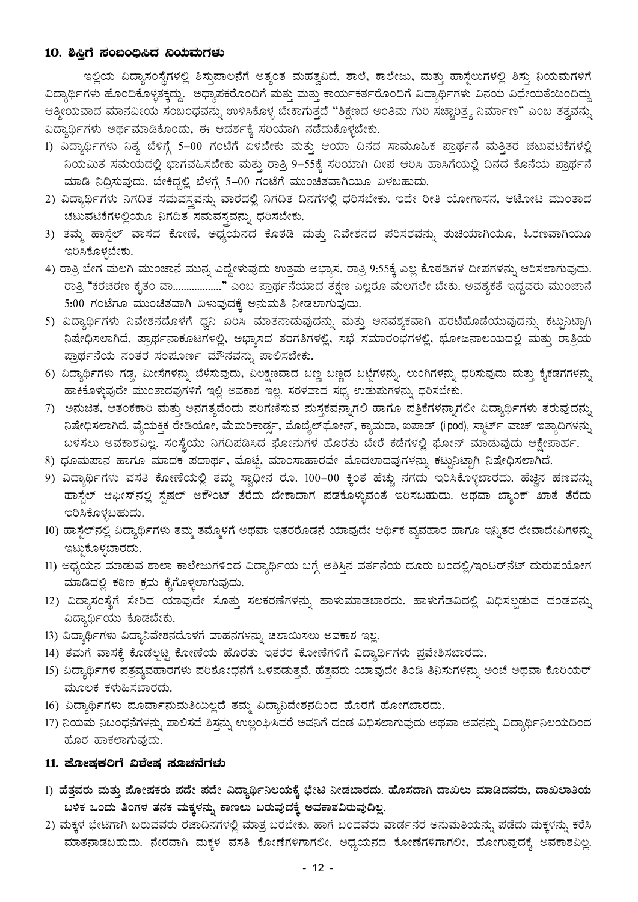#### 10. ಶಿಸ್ತಿಗೆ ಸಂಬಂಧಿಸಿದ ನಿಯಮಗಳು

ಇಲ್ಲಿಯ ವಿದ್ಯಾಸಂಸ್ಥೆಗಳಲ್ಲಿ ಶಿಸ್ತುಪಾಲನೆಗೆ ಅತ್ಯಂತ ಮಹತ್ವವಿದೆ. ಶಾಲೆ, ಕಾಲೇಜು, ಮತ್ತು ಹಾಸ್ಟೆಲುಗಳಲ್ಲಿ ಶಿಸ್ತು ನಿಯಮಗಳಿಗೆ ವಿದ್ಯಾರ್ಥಿಗಳು ಹೊಂದಿಕೊಳ್ಳತಕ್ಕದ್ದು. ಅಧ್ಯಾಪಕರೊಂದಿಗೆ ಮತ್ತು ಮತ್ತು ಕಾರ್ಯಕರ್ತರೊಂದಿಗೆ ವಿದ್ಯಾರ್ಥಿಗಳು ವಿನಯ ವಿಧೇಯತೆಯಿಂದಿದ್ದು ಆತ್ಮೀಯವಾದ ಮಾನವೀಯ ಸಂಬಂಧವನ್ನು ಉಳಿಸಿಕೊಳ್ಳ ಬೇಕಾಗುತ್ತದೆ "ಶಿಕ್ಷಣದ ಅಂತಿಮ ಗುರಿ ಸಚ್ಚಾರಿತ್ರ್ಯ ನಿರ್ಮಾಣ" ಎಂಬ ತತ್ವವನ್ನು ವಿದ್ಯಾರ್ಥಿಗಳು ಅರ್ಥಮಾಡಿಕೊಂಡು, ಈ ಆದರ್ಶಕ್ಕೆ ಸರಿಯಾಗಿ ನಡೆದುಕೊಳ್ಳಬೇಕು.

- 1) ವಿದ್ಯಾರ್ಥಿಗಳು ನಿತ್ಯ ಬೆಳಿಗ್ಗೆ 5–00 ಗಂಟೆಗೆ ಏಳಬೇಕು ಮತ್ತು ಆಯಾ ದಿನದ ಸಾಮೂಹಿಕ ಪ್ರಾರ್ಥನೆ ಮತ್ತಿತರ ಚಟುವಟಿಕೆಗಳಲ್ಲಿ ನಿಯಮಿತ ಸಮಯದಲ್ಲಿ ಭಾಗವಹಿಸಬೇಕು ಮತ್ತು ರಾತ್ರಿ 9–55ಕ್ಕೆ ಸರಿಯಾಗಿ ದೀಪ ಆರಿಸಿ ಹಾಸಿಗೆಯಲ್ಲಿ ದಿನದ ಕೊನೆಯ ಪ್ರಾರ್ಥನೆ ಮಾಡಿ ನಿದ್ರಿಸುವುದು. ಬೇಕಿದ್ದಲ್ಲಿ ಬೆಳಗ್ಗೆ 5-00 ಗಂಟೆಗೆ ಮುಂಚಿತವಾಗಿಯೂ ಏಳಬಹುದು.
- 2) ವಿದ್ಯಾರ್ಥಿಗಳು ನಿಗದಿತ ಸಮವಸ್ಥವನ್ನು ವಾರದಲ್ಲಿ ನಿಗದಿತ ದಿನಗಳಲ್ಲಿ ಧರಿಸಬೇಕು. ಇದೇ ರೀತಿ ಯೋಗಾಸನ, ಆಟೋಟ ಮುಂತಾದ ಚಟುವಟಿಕೆಗಳಲ್ಲಿಯೂ ನಿಗದಿತ ಸಮವಸ್ಥವನ್ನು ಧರಿಸಬೇಕು.
- 3) ತಮ್ಮ ಹಾಸ್ಟೆಲ್ ವಾಸದ ಕೋಣೆ, ಅಧ್ಯಯನದ ಕೊಠಡಿ ಮತ್ತು ನಿವೇಶನದ ಪರಿಸರವನ್ನು ಶುಚಿಯಾಗಿಯೂ, ಓರಣವಾಗಿಯೂ ಇರಿಸಿಕೊಳ್ಳಬೇಕು.
- 4) ರಾತ್ರಿ ಬೇಗ ಮಲಗಿ ಮುಂಜಾನೆ ಮುನ್ನ ಎದ್ದೇಳುವುದು ಉತ್ತಮ ಅಭ್ಯಾಸ. ರಾತ್ರಿ 9:55ಕ್ಕೆ ಎಲ್ಲ ಕೊಠಡಿಗಳ ದೀಪಗಳನ್ನು ಆರಿಸಲಾಗುವುದು. ರಾತ್ರಿ "ಕರಚರಣ ಕೃತಂ ವಾ..................." ಎಂಬ ಪ್ರಾರ್ಥನೆಯಾದ ತಕ್ಷಣ ಎಲ್ಲರೂ ಮಲಗಲೇ ಬೇಕು. ಅವಶ್ಯಕತೆ ಇದ್ದವರು ಮುಂಜಾನೆ 5:00 ಗಂಟೆಗೂ ಮುಂಚಿತವಾಗಿ ಏಳುವುದಕ್ಕೆ ಅನುಮತಿ ನೀಡಲಾಗುವುದು.
- 5) ವಿದ್ಯಾರ್ಥಿಗಳು ನಿವೇಶನದೊಳಗೆ ಧ್ವನಿ ಏರಿಸಿ ಮಾತನಾಡುವುದನ್ನು ಮತ್ತು ಅನವಶ್ಯಕವಾಗಿ ಹರಟೆಹೊಡೆಯುವುದನ್ನು ಕಟ್ಟುನಿಟ್ಟಾಗಿ ನಿಷೇಧಿಸಲಾಗಿದೆ. ಪ್ರಾರ್ಥನಾಕೂಟಗಳಲ್ಲಿ, ಅಭ್ಯಾಸದ ತರಗತಿಗಳಲ್ಲಿ, ಸಭೆ ಸಮಾರಂಭಗಳಲ್ಲಿ, ಭೋಜನಾಲಯದಲ್ಲಿ ಮತ್ತು ರಾತ್ರಿಯ ಪ್ರಾರ್ಥನೆಯ ನಂತರ ಸಂಪೂರ್ಣ ಮೌನವನ್ನು ಪಾಲಿಸಬೇಕು.
- 6) ವಿದ್ಯಾರ್ಥಿಗಳು ಗಡ್ಡ, ಮೀಸೆಗಳನ್ನು ಬೆಳೆಸುವುದು, ವಿಲಕ್ಷಣವಾದ ಬಣ್ಣ ಬಣ್ಣದ ಬಟ್ಟೆಗಳನ್ನು, ಲುಂಗಿಗಳನ್ನು ಧರಿಸುವುದು ಮತ್ತು ಕೈಕಡಗಗಳನ್ನು ಹಾಕಿಕೊಳ್ಳುವುದೇ ಮುಂತಾದವುಗಳಿಗೆ ಇಲ್ಲಿ ಅವಕಾಶ ಇಲ್ಲ. ಸರಳವಾದ ಸಭ್ಯ ಉಡುಮಗಳನ್ನು ಧರಿಸಬೇಕು.
- 7) ಅನುಚಿತ, ಆತಂಕಕಾರಿ ಮತ್ತು ಅನಗತ್ಯವೆಂದು ಪರಿಗಣಿಸುವ ಮಸ್ತಕವನ್ನಾಗಲಿ ಹಾಗೂ ಪತ್ರಿಕೆಗಳನ್ನಾಗಲೀ ವಿದ್ಯಾರ್ಥಿಗಳು ತರುವುದನ್ನು ನಿಷೇಧಿಸಲಾಗಿದೆ. ವೈಯಕ್ತಿಕ ರೇಡಿಯೋ, ಮೆಮರಿಕಾರ್ಡ್ನ, ಮೊಬೈಲ್ಘೋನ್, ಕ್ಯಾಮರಾ, ಐಪಾಡ್ (ipod), ಸ್ಮಾರ್ಟ್ ವಾಚ್ ಇತ್ಯಾದಿಗಳನ್ನು ಬಳಸಲು ಅವಕಾಶವಿಲ್ಲ. ಸಂಸ್ಥೆಯು ನಿಗದಿಪಡಿಸಿದ ಘೋನುಗಳ ಹೊರತು ಬೇರೆ ಕಡೆಗಳಲ್ಲಿ ಘೋನ್ ಮಾಡುವುದು ಆಕ್ಷೇಪಾರ್ಹ.
- 8) ಧೂಮಪಾನ ಹಾಗೂ ಮಾದಕ ಪದಾರ್ಥ, ಮೊಟ್ಟೆ ಮಾಂಸಾಹಾರವೇ ಮೊದಲಾದವುಗಳನ್ನು ಕಟ್ಟುನಿಟ್ಟಾಗಿ ನಿಷೇಧಿಸಲಾಗಿದೆ.
- 9) ವಿದ್ಯಾರ್ಥಿಗಳು ವಸತಿ ಕೋಣೆಯಲ್ಲಿ ತಮ್ಮ ಸ್ವಾಧೀನ ರೂ. 100–00 ಕ್ಕಿಂತ ಹೆಚ್ಚು ನಗದು ಇರಿಸಿಕೊಳ್ಳಬಾರದು. ಹೆಚ್ಚಿನ ಹಣವನ್ನು ಹಾಸ್ಟೆಲ್ ಆಫೀಸ್ನಲ್ಲಿ ಸ್ಪೆಷಲ್ ಅಕೌಂಟ್ ತೆರೆದು ಬೇಕಾದಾಗ ಪಡಕೊಳ್ಳುವಂತೆ ಇರಿಸಬಹುದು. ಅಥವಾ ಬ್ಯಾಂಕ್ ಖಾತೆ ತೆರೆದು ಇರಿಸಿಕೊಳ್ಳಬಹುದು.
- 10) ಹಾಸ್ಟೆಲ್ನಲ್ಲಿ ವಿದ್ಯಾರ್ಥಿಗಳು ತಮ್ಮ ತಮ್ಮೊಳಗೆ ಅಥವಾ ಇತರರೊಡನೆ ಯಾವುದೇ ಆರ್ಥಿಕ ವ್ಯವಹಾರ ಹಾಗೂ ಇನ್ನಿತರ ಲೇವಾದೇವಿಗಳನ್ನು ಇಟ್ಟುಕೊಳ್ಳಬಾರದು.
- 11) ಅಧ್ಯಯನ ಮಾಡುವ ಶಾಲಾ ಕಾಲೇಜುಗಳಿಂದ ವಿದ್ಯಾರ್ಥಿಯ ಬಗ್ಗೆ ಅಶಿಸ್ತಿನ ವರ್ತನೆಯ ದೂರು ಬಂದಲ್ಲಿ/ಇಂಟರ್ನೆಟ್ ದುರುಪಯೋಗ ಮಾಡಿದಲ್ಲಿ ಕಠಿಣ ಕ್ರಮ ಕೈಗೊಳ್ಳಲಾಗುವುದು.
- 12) ವಿದ್ಯಾಸಂಸ್ಥೆಗೆ ಸೇರಿದ ಯಾವುದೇ ಸೊತ್ತು ಸಲಕರಣೆಗಳನ್ನು ಹಾಳುಮಾಡಬಾರದು. ಹಾಳುಗೆಡವಿದಲ್ಲಿ ವಿಧಿಸಲ್ಪಡುವ ದಂಡವನ್ನು ವಿದ್ಯಾರ್ಥಿಯು ಕೊಡಬೇಕು.
- 13) ವಿದ್ಯಾರ್ಥಿಗಳು ವಿದ್ಯಾನಿವೇಶನದೊಳಗೆ ವಾಹನಗಳನ್ನು ಚಲಾಯಿಸಲು ಅವಕಾಶ ಇಲ್ಲ.
- 14) ತಮಗೆ ವಾಸಕ್ಕೆ ಕೊಡಲ್ಪಟ್ಟ ಕೋಣೆಯ ಹೊರತು ಇತರರ ಕೋಣೆಗಳಿಗೆ ವಿದ್ಯಾರ್ಥಿಗಳು ಪ್ರವೇಶಿಸಬಾರದು.
- 15) ವಿದ್ಯಾರ್ಥಿಗಳ ಪತ್ರವ್ಯವಹಾರಗಳು ಪರಿಶೋಧನೆಗೆ ಒಳಪಡುತ್ತವೆ. ಹೆತ್ತವರು ಯಾವುದೇ ತಿಂಡಿ ತಿನಿಸುಗಳನ್ನು ಅಂಚೆ ಅಥವಾ ಕೊರಿಯರ್ ಮೂಲಕ ಕಳುಹಿಸಬಾರದು.
- 16) ವಿದ್ಯಾರ್ಥಿಗಳು ಪೂರ್ವಾನುಮತಿಯಿಲ್ಲದೆ ತಮ್ಮ ವಿದ್ಯಾನಿವೇಶನದಿಂದ ಹೊರಗೆ ಹೋಗಬಾರದು.
- 17) ನಿಯಮ ನಿಬಂಧನೆಗಳನ್ನು ಪಾಲಿಸದೆ ಶಿಸ್ತನ್ನು ಉಲ್ಲಂಘಿಸಿದರೆ ಅವನಿಗೆ ದಂಡ ವಿಧಿಸಲಾಗುವುದು ಅಥವಾ ಅವನನ್ನು ವಿದ್ಯಾರ್ಥಿನಿಲಯದಿಂದ ಹೊರ ಹಾಕಲಾಗುವುದು.

#### 11. ಮೋಷಕಲಿಗೆ ವಿಶೇಷ ಸೂಚನೆಗಳು

- 1) ಹೆತ್ತವರು ಮತ್ತು ಪೋಷಕರು ಪದೇ ಪದೇ ವಿದ್ಯಾರ್ಥಿನಿಲಯಕ್ಕೆ ಭೇಟಿ ನೀಡಬಾರದು. ಹೊಸದಾಗಿ ದಾಖಲು ಮಾಡಿದವರು, ದಾಖಲಾತಿಯ ಬಳಿಕ ಒಂದು ತಿಂಗಳ ತನಕ ಮಕ್ಕಳನ್ನು ಕಾಣಲು ಬರುವುದಕ್ಕೆ ಅವಕಾಶವಿರುವುದಿಲ್ಲ.
- 2) ಮಕ್ಕಳ ಭೇಟಿಗಾಗಿ ಬರುವವರು ರಜಾದಿನಗಳಲ್ಲಿ ಮಾತ್ರ ಬರಬೇಕು. ಹಾಗೆ ಬಂದವರು ವಾರ್ಡನರ ಅನುಮತಿಯನ್ನು ಪಡೆದು ಮಕ್ಕಳನ್ನು ಕರೆಸಿ ಮಾತನಾಡಬಹುದು. ನೇರವಾಗಿ ಮಕ್ಕಳ ವಸತಿ ಕೋಣೆಗಳಿಗಾಗಲೀ. ಅಧ್ಯಯನದ ಕೋಣೆಗಳಿಗಾಗಲೀ, ಹೋಗುವುದಕ್ಕೆ ಅವಕಾಶವಿಲ್ಲ.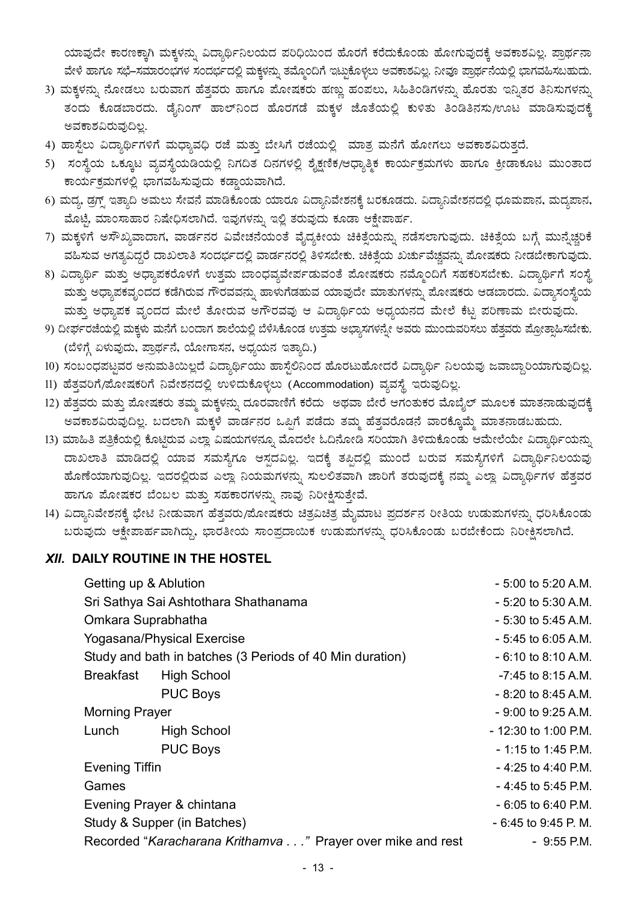ಯಾವುದೇ ಕಾರಣಕ್ಕಾಗಿ ಮಕ್ಕಳನ್ನು ವಿದ್ಯಾರ್ಥಿನಿಲಯದ ಪರಿಧಿಯಿಂದ ಹೊರಗೆ ಕರೆದುಕೊಂಡು ಹೋಗುವುದಕ್ಕೆ ಅವಕಾಶವಿಲ್ಲ. ಪ್ರಾರ್ಥನಾ ವೇಳೆ ಹಾಗೂ ಸಭೆ–ಸಮಾರಂಭಗಳ ಸಂದರ್ಭದಲ್ಲಿ ಮಕ್ಕಳನ್ನು ತಮ್ಮೊಂದಿಗೆ ಇಟ್ಟುಕೊಳ್ಳಲು ಅವಕಾಶವಿಲ್ಲ. ನೀವೂ ಪ್ರಾರ್ಥನೆಯಲ್ಲಿ ಭಾಗವಹಿಸಬಹುದು.

- 3) ಮಕ್ಕಳನ್ನು ನೋಡಲು ಬರುವಾಗ ಹೆತ್ತವರು ಹಾಗೂ ಪೋಷಕರು ಹಣ್ಣು ಹಂಪಲು, ಸಿಹಿತಿಂಡಿಗಳನ್ನು ಹೊರತು ಇನ್ನಿತರ ತಿನಿಸುಗಳನ್ನು ತಂದು ಕೊಡಬಾರದು. ಡೈನಿಂಗ್ ಹಾಲ್ನ್ಂದ ಹೊರಗಡೆ ಮಕ್ಕಳ ಜೊತೆಯಲ್ಲಿ ಕುಳಿತು ತಿಂಡಿತಿನಸು/ಊಟ ಮಾಡಿಸುವುದಕ್ಕೆ ಅವಕಾಶವಿರುವುದಿಲ್ಲ.
- 4) ಹಾಸ್ಟೆಲು ವಿದ್ಯಾರ್ಥಿಗಳಿಗೆ ಮಧ್ಯಾವಧಿ ರಜೆ ಮತ್ತು ಬೇಸಿಗೆ ರಜೆಯಲ್ಲಿ ಮಾತ್ರ ಮನೆಗೆ ಹೋಗಲು ಅವಕಾಶವಿರುತ್ತದೆ.
- 5) ಸಂಸ್ಥೆಯ ಒಕ್ಕೂಟ ವ್ಯವಸ್ಥೆಯಡಿಯಲ್ಲಿ ನಿಗದಿತ ದಿನಗಳಲ್ಲಿ ಶೈಕ್ಷಣಿಕ/ಆಧ್ಯಾತ್ಮಿಕ ಕಾರ್ಯಕ್ರಮಗಳು ಹಾಗೂ ಕ್ರೀಡಾಕೂಟ ಮುಂತಾದ ಕಾರ್ಯಕ್ರಮಗಳಲ್ಲಿ ಭಾಗವಹಿಸುವುದು ಕಡ್ಡಾಯವಾಗಿದೆ.
- 6) ಮದ್ಯ, ಡ್ರಗ್ಸ್ ಇತ್ಯಾದಿ ಅಮಲು ಸೇವನೆ ಮಾಡಿಕೊಂಡು ಯಾರೂ ವಿದ್ಯಾನಿವೇಶನಕ್ಕೆ ಬರಕೂಡದು. ವಿದ್ಯಾನಿವೇಶನದಲ್ಲಿ ಧೂಮಪಾನ, ಮದ್ಯಪಾನ, ಮೊಟೈ ಮಾಂಸಾಹಾರ ನಿಷೇಧಿಸಲಾಗಿದೆ. ಇವುಗಳನ್ನು ಇಲ್ಲಿ ತರುವುದು ಕೂಡಾ ಆಕ್ಷೇಪಾರ್ಹ.
- 7) ಮಕ್ಕಳಿಗೆ ಅಸೌಖ್ಯವಾದಾಗ, ವಾರ್ಡನರ ವಿವೇಚನೆಯಂತೆ ವೈದ್ಯಕೀಯ ಚಿಕಿತ್ಸೆಯನ್ನು ನಡೆಸಲಾಗುವುದು. ಚಿಕಿತ್ಸೆಯ ಬಗ್ಗೆ ಮುನ್ನೆಚ್ಚರಿಕೆ ವಹಿಸುವ ಅಗತ್ಯವಿದ್ದರೆ ದಾಖಲಾತಿ ಸಂದರ್ಭದಲ್ಲಿ ವಾರ್ಡನರಲ್ಲಿ ತಿಳಿಸಬೇಕು. ಚಿಕಿತ್ಸೆಯ ಖರ್ಚುವೆಚ್ಚವನ್ನು ಪೋಷಕರು ನೀಡಬೇಕಾಗುವುದು.
- 8) ವಿದ್ಯಾರ್ಥಿ ಮತ್ತು ಅಧ್ಯಾಪಕರೊಳಗೆ ಉತ್ತಮ ಬಾಂಧವ್ಯವೇರ್ಪಡುವಂತೆ ಪೋಷಕರು ನಮ್ಮೊಂದಿಗೆ ಸಹಕರಿಸಬೇಕು. ವಿದ್ಯಾರ್ಥಿಗೆ ಸಂಸ್ಥೆ ಮತ್ತು ಅಧ್ಯಾಪಕವೃಂದದ ಕಡೆಗಿರುವ ಗೌರವವನ್ನು ಹಾಳುಗೆಡಹುವ ಯಾವುದೇ ಮಾತುಗಳನ್ನು ಪೋಷಕರು ಆಡಬಾರದು. ವಿದ್ಯಾಸಂಸ್ಥೆಯ ಮತ್ತು ಅಧ್ಯಾಪಕ ವೃಂದದ ಮೇಲೆ ತೋರುವ ಅಗೌರವವು ಆ ವಿದ್ಯಾರ್ಥಿಯ ಅಧ್ಯಯನದ ಮೇಲೆ ಕೆಟ್ಟ ಪರಿಣಾಮ ಬೀರುವುದು.
- 9) ದೀರ್ಘರಜೆಯಲ್ಲಿ ಮಕ್ಕಳು ಮನೆಗೆ ಬಂದಾಗ ಶಾಲೆಯಲ್ಲಿ ಬೆಳೆಸಿಕೊಂಡ ಉತ್ತಮ ಅಭ್ಯಾಸಗಳನ್ನೇ ಅವರು ಮುಂದುವರಿಸಲು ಹೆತ್ತವರು ಪ್ರೋತ್ಸಾಹಿಸಬೇಕು. (ಬೆಳಿಗ್ಗೆ ಏಳುವುದು, ಪ್ರಾರ್ಥನೆ, ಯೋಗಾಸನ, ಅಧ್ಯಯನ ಇತ್ಯಾದಿ.)
- 10) ಸಂಬಂಧಪಟ್ಟವರ ಅನುಮತಿಯಿಲ್ಲದೆ ವಿದ್ಯಾರ್ಥಿಯು ಹಾಸ್ಟೆಲಿನಿಂದ ಹೊರಟುಹೋದರೆ ವಿದ್ಯಾರ್ಥಿ ನಿಲಯವು ಜವಾಬ್ದಾರಿಯಾಗುವುದಿಲ್ಲ.
- 11) ಹೆತ್ತವರಿಗೆ/ಹೋಷಕರಿಗೆ ನಿವೇಶನದಲ್ಲಿ ಉಳಿದುಕೊಳ್ಳಲು (Accommodation) ವ್ಯವಸ್ಥೆ ಇರುವುದಿಲ್ಲ.
- 12) ಹೆತ್ತವರು ಮತ್ತು ಪೋಷಕರು ತಮ್ಮ ಮಕ್ಕಳನ್ನು ದೂರವಾಣಿಗೆ ಕರೆದು ಅಥವಾ ಬೇರೆ ಆಗಂತುಕರ ಮೊಬೈಲ್ ಮೂಲಕ ಮಾತನಾಡುವುದಕ್ಕೆ ಅವಕಾಶವಿರುವುದಿಲ್ಲ. ಬದಲಾಗಿ ಮಕ್ಕಳೆ ವಾರ್ಡನರ ಒಪ್ಪಿಗೆ ಪಡೆದು ತಮ್ಮ ಹೆತ್ತವರೊಡನೆ ವಾರಕ್ಕೊಮ್ಮೆ ಮಾತನಾಡಬಹುದು.
- 13) ಮಾಹಿತಿ ಪತ್ರಿಕೆಯಲ್ಲಿ ಕೊಟ್ಟಿರುವ ಎಲ್ಲಾ ವಿಷಯಗಳನ್ನೂ ಮೊದಲೇ ಓದಿನೋಡಿ ಸರಿಯಾಗಿ ತಿಳಿದುಕೊಂಡು ಆಮೇಲೆಯೇ ವಿದ್ಯಾರ್ಥಿಯನ್ನು ದಾಖಲಾತಿ ಮಾಡಿದಲ್ಲಿ ಯಾವ ಸಮಸ್ಯೆಗೂ ಆಸ್ಪದವಿಲ್ಲ. ಇದಕ್ಕೆ ತಪ್ಪಿದಲ್ಲಿ ಮುಂದೆ ಬರುವ ಸಮಸ್ಯೆಗಳಿಗೆ ವಿದ್ಯಾರ್ಥಿನಿಲಯವು ಹೊಣೆಯಾಗುವುದಿಲ್ಲ. ಇದರಲ್ಲಿರುವ ಎಲ್ಲಾ ನಿಯಮಗಳನ್ನು ಸುಲಲಿತವಾಗಿ ಜಾರಿಗೆ ತರುವುದಕ್ಕೆ ನಮ್ಮ ಎಲ್ಲಾ ವಿದ್ಯಾರ್ಥಿಗಳ ಹೆತ್ತವರ ಹಾಗೂ ಪೋಷಕರ ಬೆಂಬಲ ಮತ್ತು ಸಹಕಾರಗಳನ್ನು ನಾವು ನಿರೀಕ್ಷಿಸುತ್ತೇವೆ.
- 14) ವಿದ್ಯಾನಿವೇಶನಕ್ಕೆ ಭೇಟಿ ನೀಡುವಾಗ ಹೆತ್ತವರು/ಪೋಷಕರು ಚಿತ್ರವಿಚಿತ್ರ ಮೈಮಾಟ ಪ್ರದರ್ಶನ ರೀತಿಯ ಉಡುಮಗಳನ್ನು ಧರಿಸಿಕೊಂಡು ಬರುವುದು ಆಕ್ಷೇಪಾರ್ಹವಾಗಿದ್ದು, ಭಾರತೀಯ ಸಾಂಪ್ರದಾಯಿಕ ಉಡುಮಗಳನ್ನು ಧರಿಸಿಕೊಂಡು ಬರಬೇಕೆಂದು ನಿರೀಕ್ಷಿಸಲಾಗಿದೆ.

#### **XII. DAILY ROUTINE IN THE HOSTEL**

| Getting up & Ablution                                      |                    | - 5:00 to 5:20 A.M   |
|------------------------------------------------------------|--------------------|----------------------|
| Sri Sathya Sai Ashtothara Shathanama                       |                    | - 5:20 to 5:30 A.M   |
| Omkara Suprabhatha                                         |                    | $-5:30$ to 5:45 A.M  |
| <b>Yogasana/Physical Exercise</b>                          |                    | $-5:45$ to 6:05 A.M  |
| Study and bath in batches (3 Periods of 40 Min duration)   |                    | $-6:10$ to 8:10 A.M  |
| Breakfast                                                  | <b>High School</b> | $-7:45$ to 8:15 A.M  |
|                                                            | <b>PUC Boys</b>    | $-8:20$ to 8:45 A.M  |
| <b>Morning Prayer</b>                                      |                    | - 9:00 to 9:25 A.M   |
| Lunch                                                      | <b>High School</b> | - 12:30 to 1:00 P.M  |
|                                                            | <b>PUC Boys</b>    | $-1:15$ to 1:45 P.M  |
| <b>Evening Tiffin</b>                                      |                    | - 4:25 to 4:40 P.M   |
| Games                                                      |                    | $-4:45$ to 5:45 P.M  |
| Evening Prayer & chintana                                  |                    | $-6:05$ to 6:40 P.M  |
| Study & Supper (in Batches)                                |                    | $-6:45$ to 9:45 P. M |
| Recorded "Karacharana Krithamva" Prayer over mike and rest | $-9:55$ P.M        |                      |
|                                                            |                    |                      |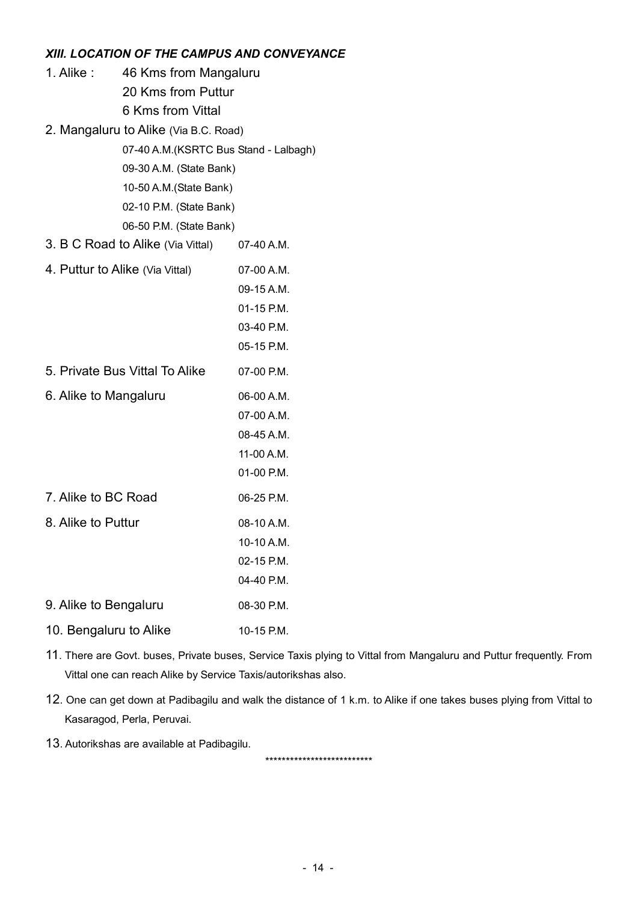#### XIII. LOCATION OF THE CAMPUS AND CONVEYANCE

| 1. Alike:                       | 46 Kms from Mangaluru<br>20 Kms from Puttur<br>6 Kms from Vittal<br>2. Mangaluru to Alike (Via B.C. Road)<br>07-40 A.M.(KSRTC Bus Stand - Lalbagh)<br>09-30 A.M. (State Bank)<br>10-50 A.M.(State Bank)<br>02-10 P.M. (State Bank) |                                                                    |
|---------------------------------|------------------------------------------------------------------------------------------------------------------------------------------------------------------------------------------------------------------------------------|--------------------------------------------------------------------|
|                                 | 06-50 P.M. (State Bank)                                                                                                                                                                                                            |                                                                    |
|                                 | 3. B C Road to Alike (Via Vittal) 07-40 A.M.                                                                                                                                                                                       |                                                                    |
| 4. Puttur to Alike (Via Vittal) |                                                                                                                                                                                                                                    | 07-00 A.M.<br>09-15 A.M.<br>01-15 P.M.<br>03-40 P.M.<br>05-15 P.M. |
|                                 | 5. Private Bus Vittal To Alike                                                                                                                                                                                                     | 07-00 P.M.                                                         |
| 6. Alike to Mangaluru           |                                                                                                                                                                                                                                    | 06-00 A.M.<br>07-00 A.M.<br>08-45 A.M.<br>11-00 A.M.<br>01-00 P.M. |
| 7. Alike to BC Road             |                                                                                                                                                                                                                                    | 06-25 P.M.                                                         |
| 8. Alike to Puttur              |                                                                                                                                                                                                                                    | 08-10 A.M.<br>10-10 A.M.<br>02-15 P.M.<br>04-40 P.M.               |
| 9. Alike to Bengaluru           |                                                                                                                                                                                                                                    | 08-30 P.M.                                                         |
| 10. Bengaluru to Alike          |                                                                                                                                                                                                                                    | 10-15 P.M.                                                         |

- 11. There are Govt. buses, Private buses, Service Taxis plying to Vittal from Mangaluru and Puttur frequently. From Vittal one can reach Alike by Service Taxis/autorikshas also.
- 12. One can get down at Padibagilu and walk the distance of 1 k.m. to Alike if one takes buses plying from Vittal to Kasaragod, Perla, Peruvai.
- 13. Autorikshas are available at Padibagilu.

\*\*\*\*\*\*\*\*\*\*\*\*\*\*\*\*\*\*\*\*\*\*\*\*\*\*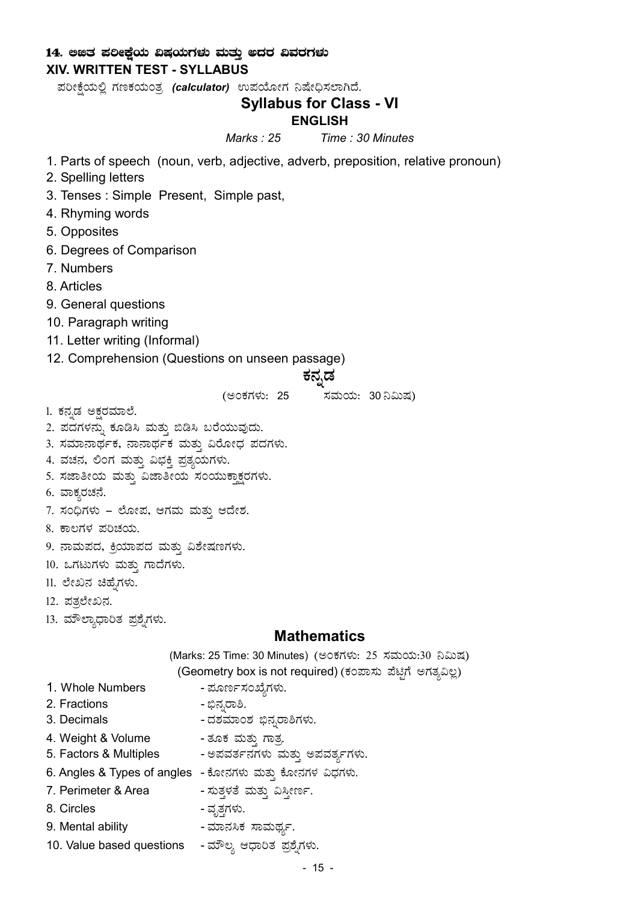#### 14. ಅಜಿತ ಪಲೀಕ್ಷೆಯ ವಿಷಯಗಳು ಮತ್ತು ಅದರ ವಿವರಗಳು XIV. WRITTEN TEST - SYLLABUS

ಪರೀಕ್ಷೆಯಲ್ಲಿ ಗಣಕಯಂತ್ರ (calculator) ಉಪಯೋಗ ನಿಷೇಧಿಸಲಾಗಿದೆ.

## Syllabus for Class - VI

#### ENGLISH

Marks : 25 Time : 30 Minutes

- 1. Parts of speech (noun, verb, adjective, adverb, preposition, relative pronoun)
- 2. Spelling letters
- 3. Tenses : Simple Present, Simple past,
- 4. Rhyming words
- 5. Opposites
- 6. Degrees of Comparison
- 7. Numbers
- 8. Articles
- 9. General questions
- 10. Paragraph writing
- 11. Letter writing (Informal)
- 12. Comprehension (Questions on unseen passage)

# ಕನ್ನಡ

(ಅಂಕಗಳು: 25 *ಸಮಯ: 30*ನಿಮಿಷ)

- 1. ಕನ್ನಡ ಅಕ್ಷರಮಾಲೆ.
- 2. ಪದಗಳನ್ನು ಕೂಡಿಸಿ ಮತ್ತು ಬಿಡಿಸಿ ಬರೆಯುವುದು.
- 3. ಸಮಾನಾರ್ಥಕ, ನಾನಾರ್ಥಕ ಮತ್ತು ವಿರೋಧ ಪದಗಳು.
- 4. ವಚನ, ಲಿಂಗ ಮತ್ತು ವಿಭಕ್ತಿ ಪ್ರತ್ಯಯಗಳು.
- 5. ಸಜಾತೀಯ ಮತ್ತು ವಿಜಾತೀಯ ಸಂಯುಕ್ತಾಕ್ಷರಗಳು.
- 6. ವಾಕ್ಯರಚನೆ.
- 7. ಸಂಧಿಗಳು ಲೋಪ, ಆಗಮ ಮತ್ತು ಆದೇಶ.
- 8. ಕಾಲಗಳ ಪರಿಚಯ.
- 9. ನಾಮಪದ, ಕ್ರಿಯಾಪದ ಮತ್ತು ವಿಶೇಷಣಗಳು.
- 10. ಒಗಟುಗಳು ಮತ್ತು ಗಾದೆಗಳು.
- 11. ಲೇಖನ ಚಿಹ್ನೆಗಳು.
- 12. ಪತ್ತಲೇಖನ.
- 13. ಮೌಲ್ಯಾಧಾರಿತ ಪ್ರಶ್ನೆಗಳು.

#### **Mathematics**

(Marks: 25 Time: 30 Minutes) (ಅಂಕಗಳು: 25 ಸಮಯ:30 ನಿಮಿಷ)

- (Geometry box is not required) (ಕಂಪಾಸು ಪೆಟ್ಟಿಗೆ ಅಗತ್ಯವಿಲ್ಲ)
- 1. Whole Numbers ಮೂರ್ಣಸಂಖ್ಯೆಗಳು.
- 2. Fractions ©ü£ÀßgÁ².
- 3. Decimals ವಶಮಾಂಶ ಭಿನ್ನರಾಶಿಗಳು.
- 4. Weight & Volume ತೂಕ ಮತ್ತು ಗಾತ್ರ
- 5. Factors & Multiples ಅಪವರ್ತನಗಳು ಮತ್ತು ಅಪವರ್ತ್ಯಗಳು.
- 6. Angles & Types of angles ಕೋನಗಳು ಮತ್ತು ಕೋನಗಳ ವಿಧಗಳು.
- 7. Perimeter & Area ಸುತ್ತಳತೆ ಮತ್ತು ವಿಸ್ತೀರ್ಣ.
- 8. Circles ಪೃತ್ತಗಳು.
- 9. Mental ability ಮಾನಸಿಕ ಸಾಮರ್ಥ್ಯ.
- 10. Value based questions ಮೌಲ್ಯ ಆಧಾರಿತ ಪ್ರಶೈಗಳು.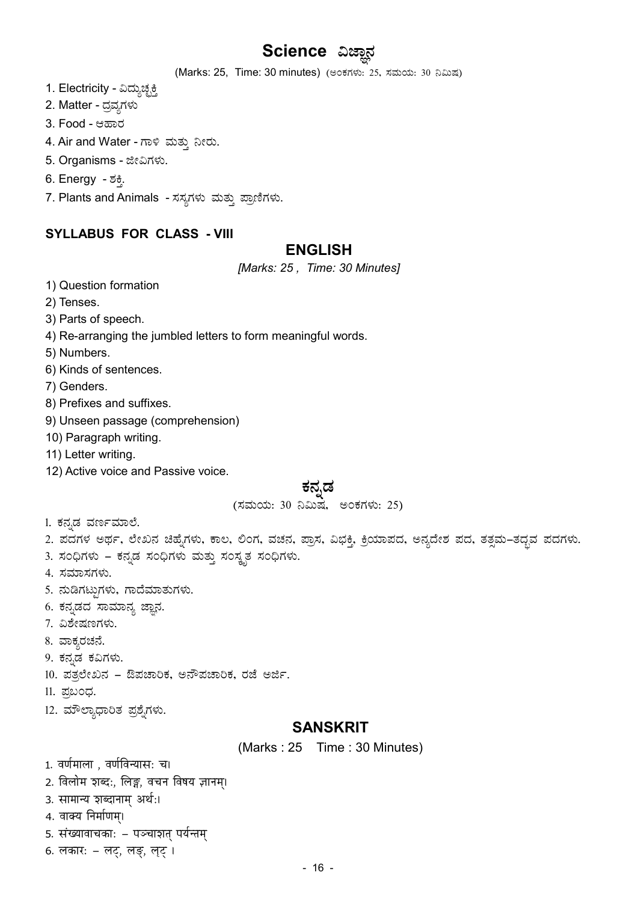# Science ವಿಜ್ಞಾನ

(Marks: 25, Time: 30 minutes) (ಅಂಕಗಳು: 25, ಸಮಯ: 30 ನಿಮಿಷ)

- 1. Electricity ವಿದ್ಯುಚ್ಛಕ್ತಿ
- 2. Matter ದ್ರವ್ಯಗಳು
- 3. Food ಆಹಾರ
- 4. Air and Water ಗಾಳಿ ಮತ್ತು ನೀರು.
- 5. Organisms ಜೀವಿಗಳು.
- 6. Energy *-* ಶಕ್ತಿ.
- 7. Plants and Animals ಸಸ್ಯಗಳು ಮತ್ತು ಪ್ರಾಣಿಗಳು.

## SYLLABUS FOR CLASS - VIII

#### ENGLISH

[Marks: 25, Time: 30 Minutes]

- 1) Question formation
- 2) Tenses.
- 3) Parts of speech.
- 4) Re-arranging the jumbled letters to form meaningful words.
- 5) Numbers.
- 6) Kinds of sentences.
- 7) Genders.
- 8) Prefixes and suffixes.
- 9) Unseen passage (comprehension)
- 10) Paragraph writing.
- 11) Letter writing.
- 12) Active voice and Passive voice.

# ಕನ್ನಡ

(ಸಮಯ: 30 ನಿಮಿಷ, ಅಂಕಗಳು: 25)

- 1. ಕನ್ನಡ ವರ್ಣಮಾಲೆ.
- 2. ಪದಗಳ ಅರ್ಥ, ಲೇಖನ ಚಿಹ್ನೆಗಳು, ಕಾಲ, ಲಿಂಗ, ವಚನ, ಪ್ರಾಸ, ವಿಭಕ್ತಿ, ಕ್ರಿಯಾಪದ, ಅನ್ಯದೇಶ ಪದ, ತತ್ಸಮ–ತದ್ಭವ ಪದಗಳು.
- 3. ಸಂಧಿಗಳು ಕನ್ನಡ ಸಂಧಿಗಳು ಮತ್ತು ಸಂಸ್ಕೃತ ಸಂಧಿಗಳು.
- 4. ಸಮಾಸಗಳು.
- 5. ಹುಡಿಗಟ್ಟುಗಳು, ಗಾದೆಮಾತುಗಳು.
- 6. ಕನ್ನಡದ ಸಾಮಾನ್ಯ ಜ್ಞಾನ.
- 7. ವಿಶೇಷಣಗಳು.
- 8. ವಾಕ್ಯರಚನೆ.
- 9. ಕನ್ನಡ ಕವಿಗಳು.
- 10. ಪತ್ತಲೇಖನ ಔಪಚಾರಿಕ, ಅನೌಪಚಾರಿಕ, ರಜೆ ಅರ್ಜಿ.
- 11. ಪುಬಂಧ.
- 12. ಮೌಲ್ಯಾಧಾರಿತ ಪ್ರಶೈಗಳು.

## **SANSKRIT**

(Marks : 25 Time : 30 Minutes)

1. वर्णमाला , वर्णविन्यास: च।

- 2. विलोम शब्द:, लिङ्ग, वचन विषय ज्ञानम्।
- 3. सामान्य शब्दानाम् अर्थ:।
- 4. वाक्य निर्माणम्।
- 5. संख्यावाचकाः पञ्चाशत् पर्यन्तम्
- 6. लकार: लट्, लङ्, लट् ।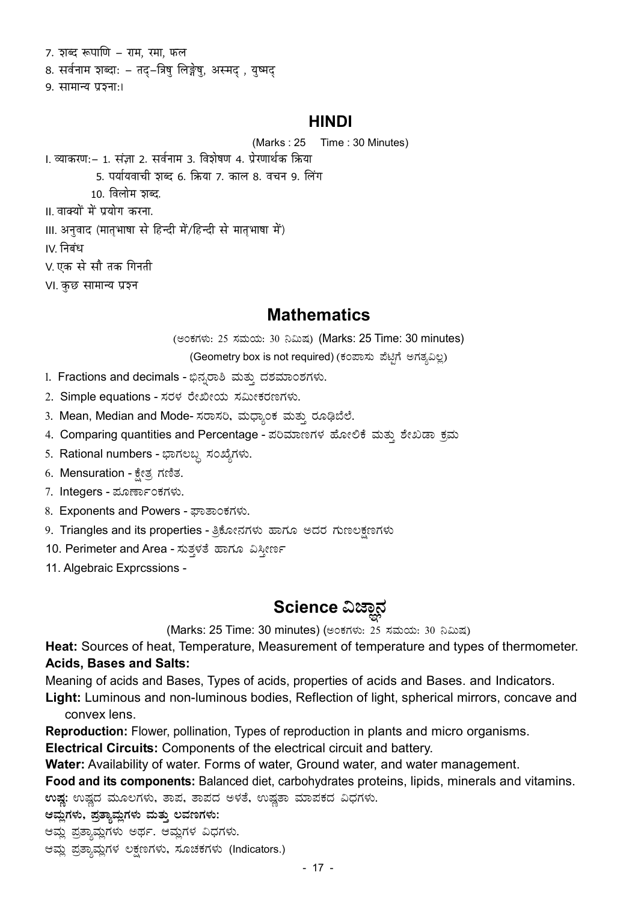7. शब्द रूपाणि – राम, रमा, फल 8. सर्वनाम शब्दा: – तद्-त्रिषु लिङ्गेषु, अस्मद् , युष्मद् 9. सामान्य प्रञ्जा:।

#### **HINDI**

(Marks: 25 Time: 30 Minutes)

1. व्याकरण:- 1. संज्ञा 2. सर्वनाम 3. विशेषण 4. प्रेरणार्थक क्रिया 5. पर्यायवाची शब्द 6. क्रिया 7. काल 8. वचन 9. लिंग  $10.$  विलोम ठाब्द. ॥ वाक्यों में प्रयोग करना. Ⅲ. अनुवाद (मातृभाषा से हिन्दी में/हिन्दी से मातृभाषा में) IV. निबंध V. एक से सौ तक गिनती VI. कुछ सामान्य प्रश्न

# **Mathematics**

(ಅಂಕಗಳು: 25 ಸಮಯ: 30 ನಿಮಿಷ) (Marks: 25 Time: 30 minutes)

(Geometry box is not required) (ಕಂಪಾಸು ಪೆಟ್ಟಿಗೆ ಅಗತ್ಯವಿಲ್ಲ)

- 1. Fractions and decimals ಭಿನ್ನರಾಶಿ ಮತ್ತು ದಶಮಾಂಶಗಳು.
- 2. Simple equations ಸರಳ ರೇಖೀಯ ಸಮೀಕರಣಗಳು.
- 3. Mean, Median and Mode- ಸರಾಸರಿ, ಮಧ್ಯಾಂಕ ಮತ್ತು ರೂಢಿಬೆಲೆ.
- 4. Comparing quantities and Percentage ಪರಿಮಾಣಗಳ ಹೋಲಿಕೆ ಮತ್ತು ಶೇಖಡಾ ಕ್ರಮ
- 5. Rational numbers ಭಾಗಲಬ್ದ ಸಂಖ್ಯೆಗಳು.
- 6. Mensuration ಕ್ಷೇತ್ರ ಗಣಿತ.
- 7. Integers ಮೂರ್ಣಾಂಕಗಳು.
- 8. Exponents and Powers ಪಾತಾಂಕಗಳು.
- 9. Triangles and its properties ತ್ರಿಕೋನಗಳು ಹಾಗೂ ಅದರ ಗುಣಲಕ್ಷಣಗಳು
- 10. Perimeter and Area ಸುತ್ತಳತೆ ಹಾಗೂ ವಿಸ್ತೀರ್ಣ
- 11. Algebraic Exprcssions -

# Science ವಿಜ್ಞಾನ

(Marks: 25 Time: 30 minutes) (ಅಂಕಗಳು: 25 ಸಮಯ: 30 ನಿಮಿಷ)

Heat: Sources of heat, Temperature, Measurement of temperature and types of thermometer. **Acids, Bases and Salts:** 

Meaning of acids and Bases, Types of acids, properties of acids and Bases. and Indicators.

Light: Luminous and non-luminous bodies, Reflection of light, spherical mirrors, concave and convex lens.

**Reproduction:** Flower, pollination, Types of reproduction in plants and micro organisms.

**Electrical Circuits:** Components of the electrical circuit and battery.

Water: Availability of water. Forms of water, Ground water, and water management.

Food and its components: Balanced diet, carbohydrates proteins, lipids, minerals and vitamins.

ಉಷ್ಣ: ಉಷ್ಣದ ಮೂಲಗಳು, ತಾಪ, ತಾಪದ ಅಳತೆ, ಉಷ್ಣತಾ ಮಾಪಕದ ವಿಧಗಳು.

ಆಮ್ಲಗಳು, ಪ್ರತ್ಯಾಮ್ಷಗಳು ಮತ್ತು ಲವಣಗಳು:

ಆಮ್ಲ ಪ್ರತ್ಯಾಮ್ಲಗಳು ಅರ್ಥ. ಆಮ್ಲಗಳ ವಿಧಗಳು.

ಆಮ್ಲ ಪ್ರತ್ಯಾಮ್ಲಗಳ ಲಕ್ಷಣಗಳು, ಸೂಚಕಗಳು (Indicators.)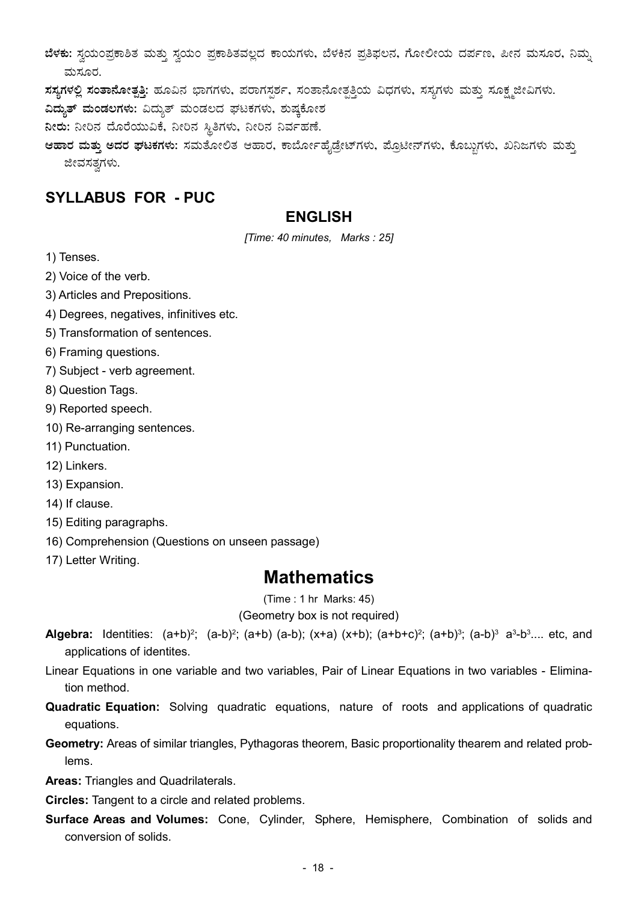$i$ ಕೆಳಕು: ಸ್ವಯಂಪ್ರಕಾಶಿತ ಮತ್ತು ಸ್ವಯಂ ಪ್ರಕಾಶಿತವಲ್ಲದ ಕಾಯಗಳು, ಬೆಳಕಿನ ಪ್ರತಿಫಲನ, ಗೋಲೀಯ ದರ್ಪಣ, ಪೀನ ಮಸೂರ, ನಿಮ್ಮ ಮಸೂರ.

zi ne nomi nou na và an and ava và manha và mangha nghiên ang nong the shang the shahan.

ವಿದ್ಯುತ್ ಮಂಡಲಗಳು: ವಿದ್ಯುತ್ ಮಂಡಲದ ಘಟಕಗಳು, ಶುಷ್ಕಕೋಶ

ನೀರು: ನೀರಿನ ದೊರೆಯುವಿಕೆ, ನೀರಿನ ಸ್ಥಿತಿಗಳು, ನೀರಿನ ನಿರ್ವಹಣೆ. Ü

ಆಹಾರ ಮತ್ತು ಅದರ ಘಟಕಗಳು: ಸಮತೋಲಿತ ಆಹಾರ, ಕಾರ್ಬೋಹೈಡ್ರೇಟ್ಗಳು, ಪ್ರೊಟೀನ್ಗಳು, ಕೊಬ್ಬುಗಳು, ಖನಿಜಗಳು ಮತ್ತು ಜೀವಸತ್ವಗಳು.

# SYLLABUS FOR - PUC

## ENGLISH

[Time: 40 minutes, Marks : 25]

1) Tenses.

2) Voice of the verb.

3) Articles and Prepositions.

4) Degrees, negatives, infinitives etc.

5) Transformation of sentences.

6) Framing questions.

7) Subject - verb agreement.

8) Question Tags.

9) Reported speech.

10) Re-arranging sentences.

11) Punctuation.

12) Linkers.

13) Expansion.

14) If clause.

15) Editing paragraphs.

16) Comprehension (Questions on unseen passage)

17) Letter Writing.

## Mathematics

(Time : 1 hr Marks: 45)

(Geometry box is not required)

**Algebra:** Identities: (a+b)<sup>2</sup>; (a-b)<sup>2</sup>; (a+b) (a-b); (x+a) (x+b); (a+b+c)<sup>2</sup>; (a+b)<sup>3</sup>; (a-b)<sup>3</sup> a<sup>3</sup>-b<sup>3</sup>.... etc, and applications of identites.

Linear Equations in one variable and two variables, Pair of Linear Equations in two variables - Elimination method.

Quadratic Equation: Solving quadratic equations, nature of roots and applications of quadratic equations.

Geometry: Areas of similar triangles, Pythagoras theorem, Basic proportionality thearem and related problems.

Areas: Triangles and Quadrilaterals.

Circles: Tangent to a circle and related problems.

Surface Areas and Volumes: Cone, Cylinder, Sphere, Hemisphere, Combination of solids and conversion of solids.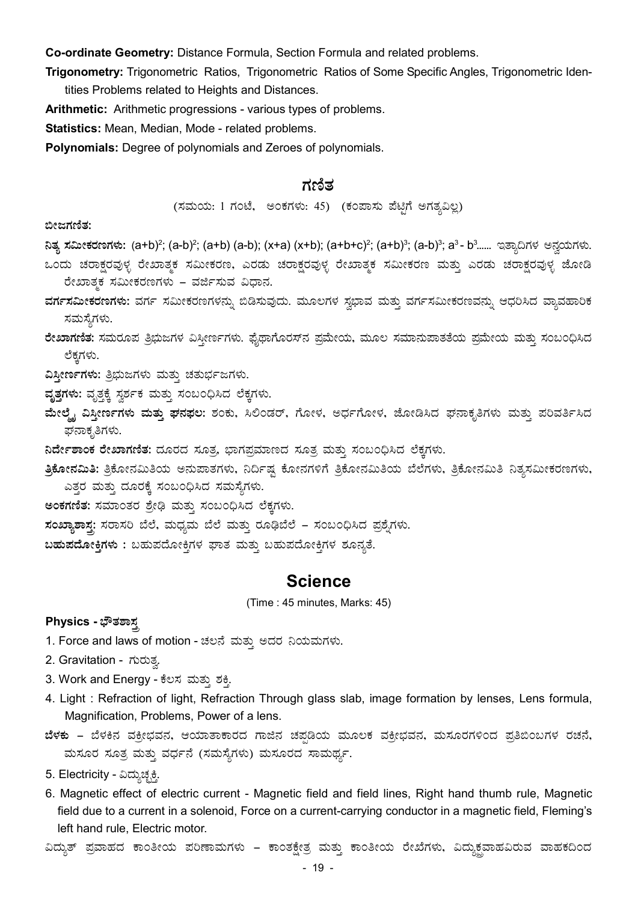Co-ordinate Geometry: Distance Formula, Section Formula and related problems.

Trigonometry: Trigonometric Ratios, Trigonometric Ratios of Some Specific Angles, Trigonometric Identities Problems related to Heights and Distances.

Arithmetic: Arithmetic progressions - various types of problems.

Statistics: Mean, Median, Mode - related problems.

Polynomials: Degree of polynomials and Zeroes of polynomials.

#### ಗಣಿತ

(ಸಮಯ: 1 ಗಂಟೆ, ಅಂಕಗಳು: 45) (ಕಂಪಾಸು ಪೆಟ್ಟಿಗೆ ಅಗತ್ಯವಿಲ್ಲ)

ಬೀಜಗಣಿತ:

**ನಿತ್ಯ ಸಮೀಕರಣಗಳು: (a+b)<sup>2</sup>; (a-b)<sup>2</sup>; (a+b) (a-b); (x+a) (x+b); (a+b+c)<sup>2</sup>; (a+b)<sup>3</sup>; (a-b)<sup>3</sup>; a<sup>3</sup>- bೆ...... ಇತ್ಯಾದಿಗಳ ಅನ್ವಯಗಳು.** 

ಒಂದು ಚರಾಕ್ಷರವುಳ್ಳ ರೇಖಾತ್ಮಕ ಸಮೀಕರಣ, ಎರಡು ಚರಾಕ್ಷರವುಳ್ಳ ರೇಖಾತ್ಮಕ ಸಮೀಕರಣ ಮತ್ತು ಎರಡು ಚರಾಕ್ಷರವುಳ್ಳ ಜೋಡಿ ರೇಖಾತ್ಮಕ ಸಮೀಕರಣಗಳು – ವರ್ಜಿಸುವ ವಿಧಾನ.

ವರ್ಗಸಮೀಕರಣಗಳು: ವರ್ಗ ಸಮೀಕರಣಗಳನ್ನು ಬಿಡಿಸುವುದು. ಮೂಲಗಳ ಸ್ವಭಾವ ಮತ್ತು ವರ್ಗಸಮೀಕರಣವನ್ನು ಆಧರಿಸಿದ ವ್ಯಾವಹಾರಿಕ ಸಮಸ್ಯೆಗಳು.

ರೇಖಾಗಣಿತ: ಸಮರೂಪ ತಿೠಷಗಳ ವಿಸ್ತೀರ್ಣಗಳು. ಫೈಥಾಗೊರಸ್**ನ ಪ್ರಮೇಯ, ಮೂಲ ಸಮಾನುಪಾತತೆಯ ಪ್ರಮೇಯ ಮತ್ತು ಸಂ**ಬಂಧಿಸಿದ ಲೆಕ್ಕಗಳು.

ವಿಸ್ತೀರ್ಣಗಳು: ತ್ರಿಭುಜಗಳು ಮತ್ತು ಚತುರ್ಭಜಗಳು.

- ವೃತ್ತಗಳು: ವೃತ್ತಕ್ಕೆ ಸ್ವರ್ಶಕ ಮತ್ತು ಸಂಬಂಧಿಸಿದ ಲೆಕ್ಕಗಳು.
- ಮೇಲ್ಮೈ ವಿಸ್ತೀರ್ಣಗಳು ಮತ್ತು ಘನಫಲ: ಶಂಕು, ಸಿಲಿಂಡರ್, ಗೋಳ, ಅರ್ಧಗೋಳ, ಜೋಡಿಸಿದ ಘನಾಕೃತಿಗಳು ಮತ್ತು ಪರಿವರ್ತಿಸಿದ ಘನಾಕೃತಿಗಳು.
- $a$ ರ್ದೇಶಾಂಕ ರೇಖಾಗಣಿತ: ದೂರದ ಸೂತ್ರ, ಭಾಗಪ್ರಮಾಣದ ಸೂತ್ರ ಮತ್ತು ಸಂಬಂಧಿಸಿದ ಲೆಕ್ತಗಳು.
- ತಿಕೋನಮಿತಿ: ತ್ರಿಕೋನಮಿತಿಯ ಅನುಪಾತಗಳು, ನಿರ್ದಿಷ್ಟ ಕೋನಗಳಿಗೆ ತ್ರಿಕೋನಮಿತಿಯ ಬೆಲೆಗಳು, ತ್ರಿಕೋನಮಿತಿ ನಿತ್ಯಸಮೀಕರಣಗಳು, ಎತ್ತರ ಮತ್ತು ದೂರಕ್ಕೆ ಸಂಬಂಧಿಸಿದ ಸಮಸ್ಯೆಗಳು.
- ಅಂಕಗಣಿತ: ಸಮಾಂತರ ಶ್ರೇಢಿ ಮತ್ತು ಸಂಬಂಧಿಸಿದ ಲೆಕ್ಕಗಳು.
- ಸಂಖ್ಯಾಶಾಸ್ತ: ಸರಾಸರಿ ಬೆಲೆ, ಮಧ್ಯಮ ಬೆಲೆ ಮತ್ತು ರೂಢಿಬೆಲೆ ಸಂಬಂಧಿಸಿದ ಪ್ರಶೈಗಳು.

 $a$ ಹುಪದೋಕ್ತಿಗಳು : ಬಹುಪದೋಕ್ತಿಗಳ ಘಾತ ಮತ್ತು ಬಹುಪದೋಕ್ತಿಗಳ ಶೂನ್ಯತೆ.

#### Science

(Time : 45 minutes, Marks: 45)

#### Physics - ಭೌತಶಾಸ್ತ

1. Force and laws of motion - ಚಲನೆ ಮತ್ತು ಅದರ ನಿಯಮಗಳು.

2. Gravitation - ಗುರುತ್ತ.

- 3. Work and Energy ಕೆಲಸ ಮತ್ತು ಶಕ್ತಿ.
- 4. Light : Refraction of light, Refraction Through glass slab, image formation by lenses, Lens formula, Magnification, Problems, Power of a lens.
- $i$ ಳಕು ಬೆಳಕಿನ ವಕ್ರೀಭವನ, ಆಯಾತಾಕಾರದ ಗಾಜಿನ ಚಪ್ರಡಿಯ ಮೂಲಕ ವಕ್ರೀಭವನ, ಮಸೂರಗಳಿಂದ ಪ್ರತಿಬಿಂಬಗಳ ರಚನೆ, ಮಸೂರ ಸೂತ್ರ ಮತ್ತು ವರ್ಧನೆ (ಸಮಸ್ಯೆಗಳು) ಮಸೂರದ ಸಾಮರ್ಥ್ಯ.
- 5. Electricity ವಿದ್ಯುಚ್ಛಕ್ತಿ.
- 6. Magnetic effect of electric current Magnetic field and field lines, Right hand thumb rule, Magnetic field due to a current in a solenoid, Force on a current-carrying conductor in a magnetic field, Fleming's left hand rule, Electric motor.

ವಿದ್ಯುತ್ ಪ್ರವಾಹದ ಕಾಂತೀಯ ಪರಿಣಾಮಗಳು – ಕಾಂತಕ್ಷೇತ್ರ ಮತ್ತು ಕಾಂತೀಯ ರೇಖೆಗಳು, ವಿದ್ಯುಕ್ಷವಾಹವಿರುವ ವಾಹಕದಿಂದ